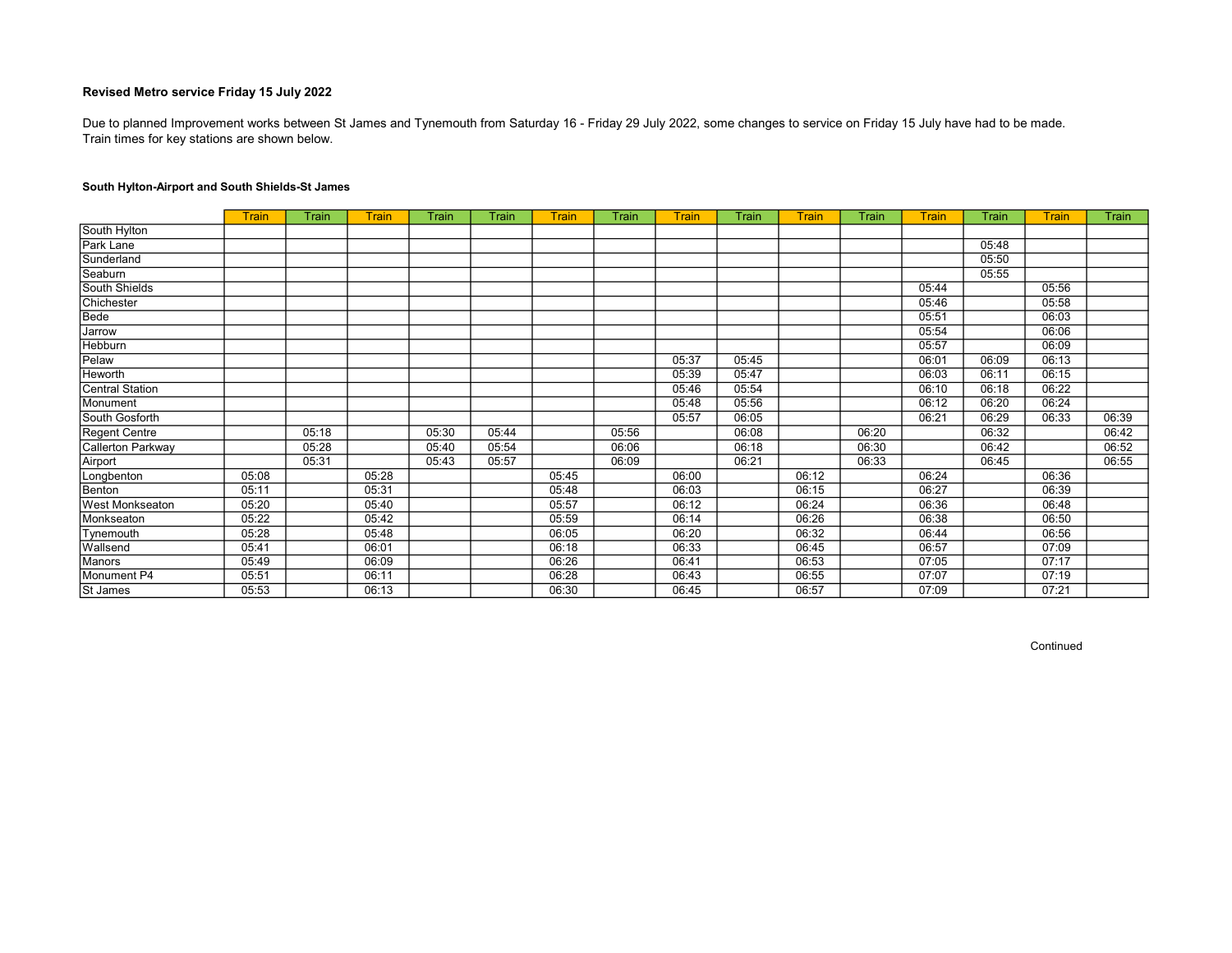Train times for key stations are shown below. Due to planned Improvement works between St James and Tynemouth from Saturday 16 - Friday 29 July 2022, some changes to service on Friday 15 July have had to be made.

### South Hylton-Airport and South Shields-St James

|                        | <b>Train</b> | Train | Train | Train | Train | Train | Train | <b>Train</b> | Train | Train | Train | <b>Train</b> | Train | <b>Train</b> | Train |
|------------------------|--------------|-------|-------|-------|-------|-------|-------|--------------|-------|-------|-------|--------------|-------|--------------|-------|
| South Hylton           |              |       |       |       |       |       |       |              |       |       |       |              |       |              |       |
| Park Lane              |              |       |       |       |       |       |       |              |       |       |       |              | 05:48 |              |       |
| Sunderland             |              |       |       |       |       |       |       |              |       |       |       |              | 05:50 |              |       |
| Seaburn                |              |       |       |       |       |       |       |              |       |       |       |              | 05:55 |              |       |
| South Shields          |              |       |       |       |       |       |       |              |       |       |       | 05:44        |       | 05:56        |       |
| Chichester             |              |       |       |       |       |       |       |              |       |       |       | 05:46        |       | 05:58        |       |
| Bede                   |              |       |       |       |       |       |       |              |       |       |       | 05:51        |       | 06:03        |       |
| Jarrow                 |              |       |       |       |       |       |       |              |       |       |       | 05:54        |       | 06:06        |       |
| Hebburn                |              |       |       |       |       |       |       |              |       |       |       | 05:57        |       | 06:09        |       |
| Pelaw                  |              |       |       |       |       |       |       | 05:37        | 05:45 |       |       | 06:01        | 06:09 | 06:13        |       |
| Heworth                |              |       |       |       |       |       |       | 05:39        | 05:47 |       |       | 06:03        | 06:11 | 06:15        |       |
| <b>Central Station</b> |              |       |       |       |       |       |       | 05:46        | 05:54 |       |       | 06:10        | 06:18 | 06:22        |       |
| Monument               |              |       |       |       |       |       |       | 05:48        | 05:56 |       |       | 06:12        | 06:20 | 06:24        |       |
| South Gosforth         |              |       |       |       |       |       |       | 05:57        | 06:05 |       |       | 06:21        | 06:29 | 06:33        | 06:39 |
| <b>Regent Centre</b>   |              | 05:18 |       | 05:30 | 05:44 |       | 05:56 |              | 06:08 |       | 06:20 |              | 06:32 |              | 06:42 |
| Callerton Parkway      |              | 05:28 |       | 05:40 | 05:54 |       | 06:06 |              | 06:18 |       | 06:30 |              | 06:42 |              | 06:52 |
| Airport                |              | 05:31 |       | 05:43 | 05:57 |       | 06:09 |              | 06:21 |       | 06:33 |              | 06:45 |              | 06:55 |
| Longbenton             | 05:08        |       | 05:28 |       |       | 05:45 |       | 06:00        |       | 06:12 |       | 06:24        |       | 06:36        |       |
| Benton                 | 05:11        |       | 05:31 |       |       | 05:48 |       | 06:03        |       | 06:15 |       | 06:27        |       | 06:39        |       |
| <b>West Monkseaton</b> | 05:20        |       | 05:40 |       |       | 05:57 |       | 06:12        |       | 06:24 |       | 06:36        |       | 06:48        |       |
| Monkseaton             | 05:22        |       | 05:42 |       |       | 05:59 |       | 06:14        |       | 06:26 |       | 06:38        |       | 06:50        |       |
| Tynemouth              | 05:28        |       | 05:48 |       |       | 06:05 |       | 06:20        |       | 06:32 |       | 06:44        |       | 06:56        |       |
| Wallsend               | 05:41        |       | 06:01 |       |       | 06:18 |       | 06:33        |       | 06:45 |       | 06:57        |       | 07:09        |       |
| Manors                 | 05:49        |       | 06:09 |       |       | 06:26 |       | 06:41        |       | 06:53 |       | 07:05        |       | 07:17        |       |
| Monument P4            | 05:51        |       | 06:11 |       |       | 06:28 |       | 06:43        |       | 06:55 |       | 07:07        |       | 07:19        |       |
| St James               | 05:53        |       | 06:13 |       |       | 06:30 |       | 06:45        |       | 06:57 |       | 07:09        |       | 07:21        |       |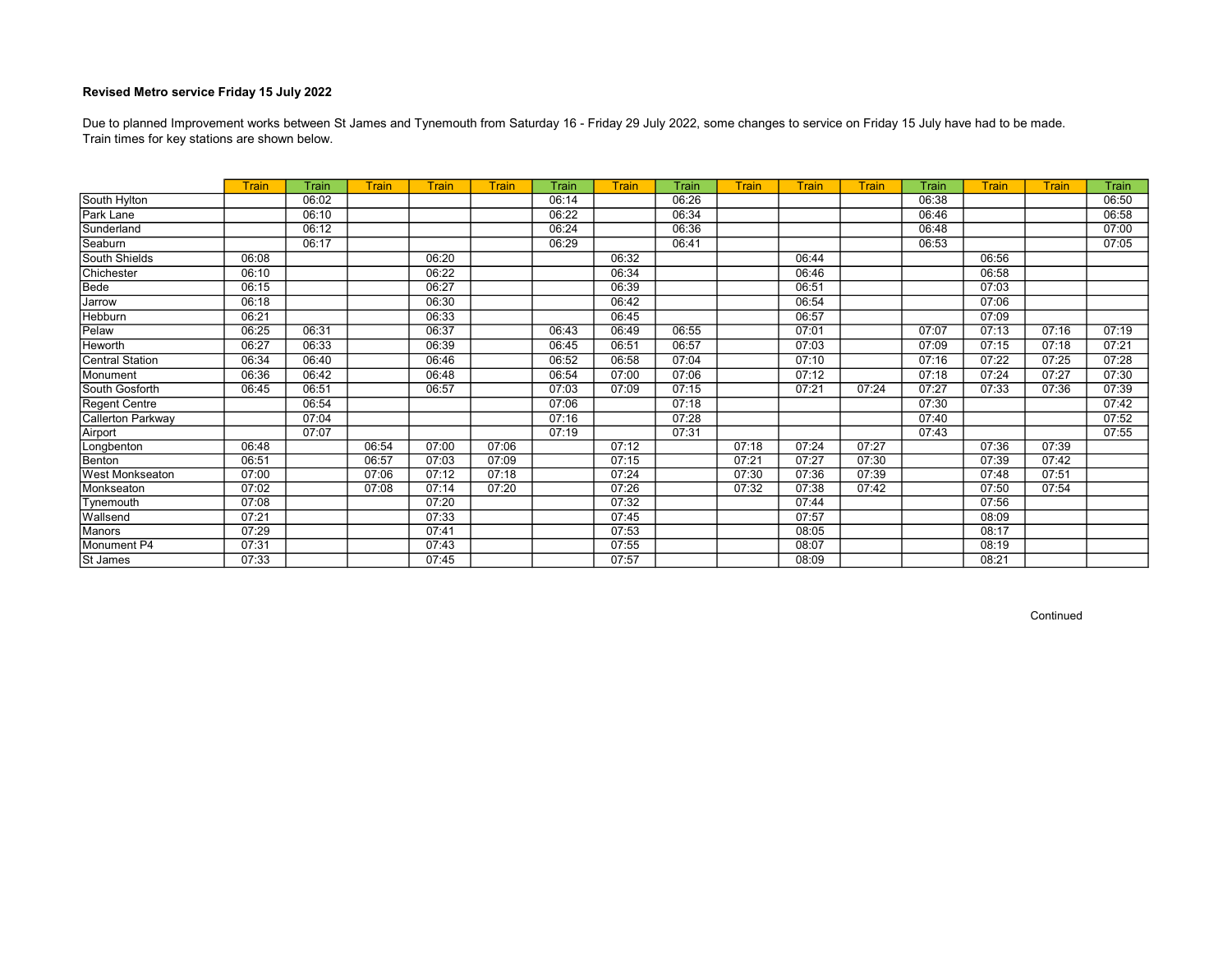Train times for key stations are shown below. Due to planned Improvement works between St James and Tynemouth from Saturday 16 - Friday 29 July 2022, some changes to service on Friday 15 July have had to be made.

|                        | <b>Train</b> | Train | Train | Train | Train | Train | Train | Train | Train | <b>Train</b> | Train | Train | Train | <b>Train</b> | Train |
|------------------------|--------------|-------|-------|-------|-------|-------|-------|-------|-------|--------------|-------|-------|-------|--------------|-------|
| South Hylton           |              | 06:02 |       |       |       | 06:14 |       | 06:26 |       |              |       | 06:38 |       |              | 06:50 |
| Park Lane              |              | 06:10 |       |       |       | 06:22 |       | 06:34 |       |              |       | 06:46 |       |              | 06:58 |
| Sunderland             |              | 06:12 |       |       |       | 06:24 |       | 06:36 |       |              |       | 06:48 |       |              | 07:00 |
| Seaburn                |              | 06:17 |       |       |       | 06:29 |       | 06:41 |       |              |       | 06:53 |       |              | 07:05 |
| South Shields          | 06:08        |       |       | 06:20 |       |       | 06:32 |       |       | 06:44        |       |       | 06:56 |              |       |
| Chichester             | 06:10        |       |       | 06:22 |       |       | 06:34 |       |       | 06:46        |       |       | 06:58 |              |       |
| Bede                   | 06:15        |       |       | 06:27 |       |       | 06:39 |       |       | 06:51        |       |       | 07:03 |              |       |
| Jarrow                 | 06:18        |       |       | 06:30 |       |       | 06:42 |       |       | 06:54        |       |       | 07:06 |              |       |
| Hebburn                | 06:21        |       |       | 06:33 |       |       | 06:45 |       |       | 06:57        |       |       | 07:09 |              |       |
| Pelaw                  | 06:25        | 06:31 |       | 06:37 |       | 06:43 | 06:49 | 06:55 |       | 07:01        |       | 07:07 | 07:13 | 07:16        | 07:19 |
| <b>Heworth</b>         | 06:27        | 06:33 |       | 06:39 |       | 06:45 | 06:51 | 06:57 |       | 07:03        |       | 07:09 | 07:15 | 07:18        | 07:21 |
| Central Station        | 06:34        | 06:40 |       | 06:46 |       | 06:52 | 06:58 | 07:04 |       | 07:10        |       | 07:16 | 07:22 | 07:25        | 07:28 |
| Monument               | 06:36        | 06:42 |       | 06:48 |       | 06:54 | 07:00 | 07:06 |       | 07:12        |       | 07:18 | 07:24 | 07:27        | 07:30 |
| South Gosforth         | 06:45        | 06:51 |       | 06:57 |       | 07:03 | 07:09 | 07:15 |       | 07:21        | 07:24 | 07:27 | 07:33 | 07:36        | 07:39 |
| Regent Centre          |              | 06:54 |       |       |       | 07:06 |       | 07:18 |       |              |       | 07:30 |       |              | 07:42 |
| Callerton Parkway      |              | 07:04 |       |       |       | 07:16 |       | 07:28 |       |              |       | 07:40 |       |              | 07:52 |
| Airport                |              | 07:07 |       |       |       | 07:19 |       | 07:31 |       |              |       | 07:43 |       |              | 07:55 |
| Longbenton             | 06:48        |       | 06:54 | 07:00 | 07:06 |       | 07:12 |       | 07:18 | 07:24        | 07:27 |       | 07:36 | 07:39        |       |
| Benton                 | 06:51        |       | 06:57 | 07:03 | 07:09 |       | 07:15 |       | 07:21 | 07:27        | 07:30 |       | 07:39 | 07:42        |       |
| <b>West Monkseaton</b> | 07:00        |       | 07:06 | 07:12 | 07:18 |       | 07:24 |       | 07:30 | 07:36        | 07:39 |       | 07:48 | 07:51        |       |
| Monkseaton             | 07:02        |       | 07:08 | 07:14 | 07:20 |       | 07:26 |       | 07:32 | 07:38        | 07:42 |       | 07:50 | 07:54        |       |
| Tynemouth              | 07:08        |       |       | 07:20 |       |       | 07:32 |       |       | 07:44        |       |       | 07:56 |              |       |
| Wallsend               | 07:21        |       |       | 07:33 |       |       | 07:45 |       |       | 07:57        |       |       | 08:09 |              |       |
| Manors                 | 07:29        |       |       | 07:41 |       |       | 07:53 |       |       | 08:05        |       |       | 08:17 |              |       |
| Monument P4            | 07:31        |       |       | 07:43 |       |       | 07:55 |       |       | 08:07        |       |       | 08:19 |              |       |
| St James               | 07:33        |       |       | 07:45 |       |       | 07:57 |       |       | 08:09        |       |       | 08:21 |              |       |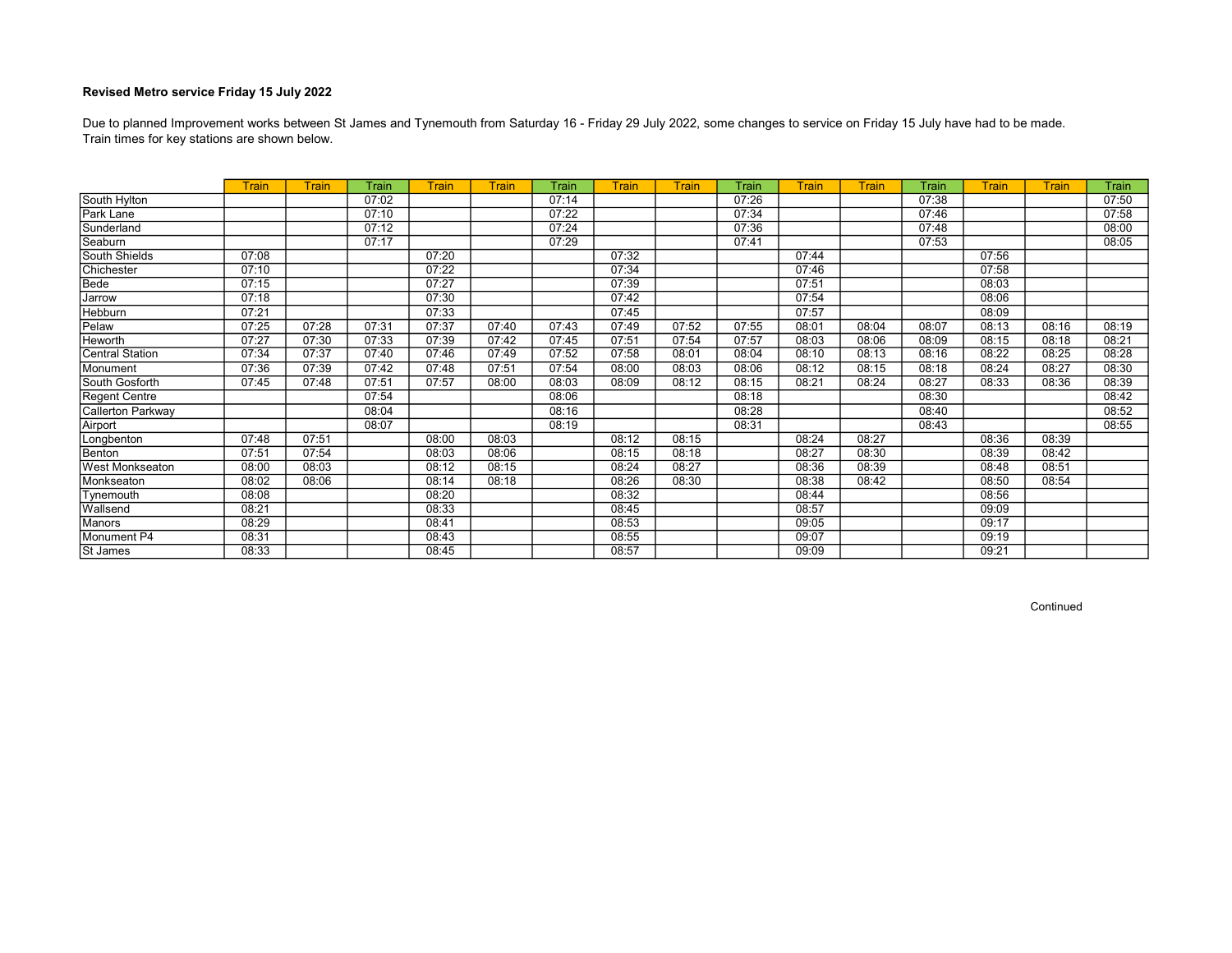Train times for key stations are shown below. Due to planned Improvement works between St James and Tynemouth from Saturday 16 - Friday 29 July 2022, some changes to service on Friday 15 July have had to be made.

|                        | <b>Train</b> | <b>Train</b> | Train | <b>Train</b> | <b>Train</b> | Train | <b>Train</b> | Train | Train | Train | <b>Train</b> | Train | <b>Train</b> | <b>Train</b> | Train |
|------------------------|--------------|--------------|-------|--------------|--------------|-------|--------------|-------|-------|-------|--------------|-------|--------------|--------------|-------|
| South Hylton           |              |              | 07:02 |              |              | 07:14 |              |       | 07:26 |       |              | 07:38 |              |              | 07:50 |
| Park Lane              |              |              | 07:10 |              |              | 07:22 |              |       | 07:34 |       |              | 07:46 |              |              | 07:58 |
| Sunderland             |              |              | 07:12 |              |              | 07:24 |              |       | 07:36 |       |              | 07:48 |              |              | 08:00 |
| Seaburn                |              |              | 07:17 |              |              | 07:29 |              |       | 07:41 |       |              | 07:53 |              |              | 08:05 |
| South Shields          | 07:08        |              |       | 07:20        |              |       | 07:32        |       |       | 07:44 |              |       | 07:56        |              |       |
| Chichester             | 07:10        |              |       | 07:22        |              |       | 07:34        |       |       | 07:46 |              |       | 07:58        |              |       |
| Bede                   | 07:15        |              |       | 07:27        |              |       | 07:39        |       |       | 07:51 |              |       | 08:03        |              |       |
| Jarrow                 | 07:18        |              |       | 07:30        |              |       | 07:42        |       |       | 07:54 |              |       | 08:06        |              |       |
| Hebburn                | 07:21        |              |       | 07:33        |              |       | 07:45        |       |       | 07:57 |              |       | 08:09        |              |       |
| Pelaw                  | 07:25        | 07:28        | 07:31 | 07:37        | 07:40        | 07:43 | 07:49        | 07:52 | 07:55 | 08:01 | 08:04        | 08:07 | 08:13        | 08:16        | 08:19 |
| <b>Heworth</b>         | 07:27        | 07:30        | 07:33 | 07:39        | 07:42        | 07:45 | 07:51        | 07:54 | 07:57 | 08:03 | 08:06        | 08:09 | 08:15        | 08:18        | 08:21 |
| <b>Central Station</b> | 07:34        | 07:37        | 07:40 | 07:46        | 07:49        | 07:52 | 07:58        | 08:01 | 08:04 | 08:10 | 08:13        | 08:16 | 08:22        | 08:25        | 08:28 |
| Monument               | 07:36        | 07:39        | 07:42 | 07:48        | 07:51        | 07:54 | 08:00        | 08:03 | 08:06 | 08:12 | 08:15        | 08:18 | 08:24        | 08:27        | 08:30 |
| South Gosforth         | 07:45        | 07:48        | 07:51 | 07:57        | 08:00        | 08:03 | 08:09        | 08:12 | 08:15 | 08:21 | 08:24        | 08:27 | 08:33        | 08:36        | 08:39 |
| Regent Centre          |              |              | 07:54 |              |              | 08:06 |              |       | 08:18 |       |              | 08:30 |              |              | 08:42 |
| Callerton Parkway      |              |              | 08:04 |              |              | 08:16 |              |       | 08:28 |       |              | 08:40 |              |              | 08:52 |
| Airport                |              |              | 08:07 |              |              | 08:19 |              |       | 08:31 |       |              | 08:43 |              |              | 08:55 |
| Longbenton             | 07:48        | 07:51        |       | 08:00        | 08:03        |       | 08:12        | 08:15 |       | 08:24 | 08:27        |       | 08:36        | 08:39        |       |
| Benton                 | 07:51        | 07:54        |       | 08:03        | 08:06        |       | 08:15        | 08:18 |       | 08:27 | 08:30        |       | 08:39        | 08:42        |       |
| <b>West Monkseaton</b> | 08:00        | 08:03        |       | 08:12        | 08:15        |       | 08:24        | 08:27 |       | 08:36 | 08:39        |       | 08:48        | 08:51        |       |
| Monkseaton             | 08:02        | 08:06        |       | 08:14        | 08:18        |       | 08:26        | 08:30 |       | 08:38 | 08:42        |       | 08:50        | 08:54        |       |
| Tynemouth              | 08:08        |              |       | 08:20        |              |       | 08:32        |       |       | 08:44 |              |       | 08:56        |              |       |
| Wallsend               | 08:21        |              |       | 08:33        |              |       | 08:45        |       |       | 08:57 |              |       | 09:09        |              |       |
| <b>Manors</b>          | 08:29        |              |       | 08:41        |              |       | 08:53        |       |       | 09:05 |              |       | 09:17        |              |       |
| Monument P4            | 08:31        |              |       | 08:43        |              |       | 08:55        |       |       | 09:07 |              |       | 09:19        |              |       |
| St James               | 08:33        |              |       | 08:45        |              |       | 08:57        |       |       | 09:09 |              |       | 09:21        |              |       |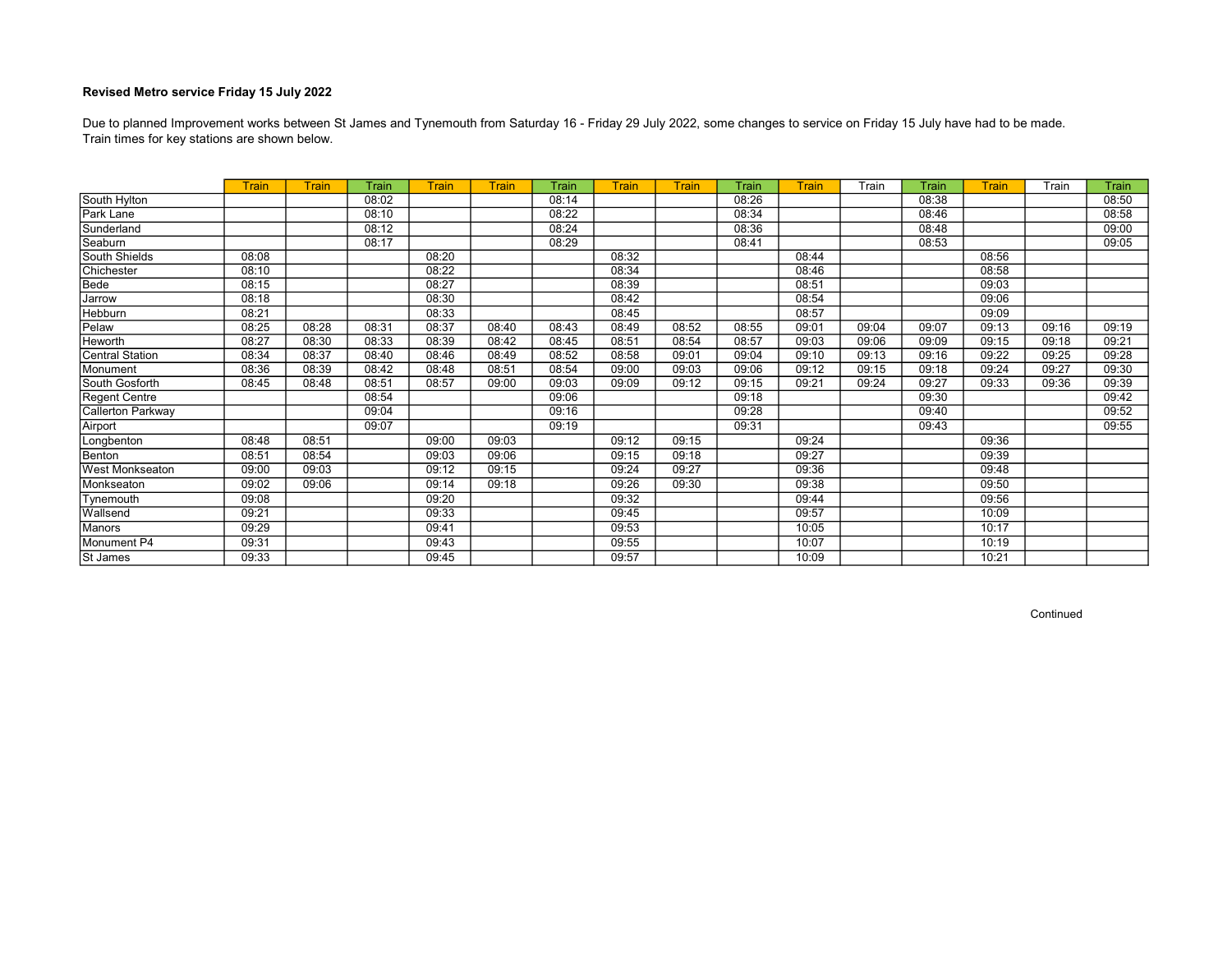Train times for key stations are shown below. Due to planned Improvement works between St James and Tynemouth from Saturday 16 - Friday 29 July 2022, some changes to service on Friday 15 July have had to be made.

|                        | <b>Train</b> | <b>Train</b> | Train | <b>Train</b> | <b>Train</b> | Train | <b>Train</b> | Train | Train | Train | Train | Train | <b>Train</b> | Train | Train |
|------------------------|--------------|--------------|-------|--------------|--------------|-------|--------------|-------|-------|-------|-------|-------|--------------|-------|-------|
| South Hylton           |              |              | 08:02 |              |              | 08:14 |              |       | 08:26 |       |       | 08:38 |              |       | 08:50 |
| Park Lane              |              |              | 08:10 |              |              | 08:22 |              |       | 08:34 |       |       | 08:46 |              |       | 08:58 |
| Sunderland             |              |              | 08:12 |              |              | 08:24 |              |       | 08:36 |       |       | 08:48 |              |       | 09:00 |
| Seaburn                |              |              | 08:17 |              |              | 08:29 |              |       | 08:41 |       |       | 08:53 |              |       | 09:05 |
| South Shields          | 08:08        |              |       | 08:20        |              |       | 08:32        |       |       | 08:44 |       |       | 08:56        |       |       |
| Chichester             | 08:10        |              |       | 08:22        |              |       | 08:34        |       |       | 08:46 |       |       | 08:58        |       |       |
| Bede                   | 08:15        |              |       | 08:27        |              |       | 08:39        |       |       | 08:51 |       |       | 09:03        |       |       |
| Jarrow                 | 08:18        |              |       | 08:30        |              |       | 08:42        |       |       | 08:54 |       |       | 09:06        |       |       |
| Hebburn                | 08:21        |              |       | 08:33        |              |       | 08:45        |       |       | 08:57 |       |       | 09:09        |       |       |
| Pelaw                  | 08:25        | 08:28        | 08:31 | 08:37        | 08:40        | 08:43 | 08:49        | 08:52 | 08:55 | 09:01 | 09:04 | 09:07 | 09:13        | 09:16 | 09:19 |
| Heworth                | 08:27        | 08:30        | 08:33 | 08:39        | 08:42        | 08:45 | 08:51        | 08:54 | 08:57 | 09:03 | 09:06 | 09:09 | 09:15        | 09:18 | 09:21 |
| <b>Central Station</b> | 08:34        | 08:37        | 08:40 | 08:46        | 08:49        | 08:52 | 08:58        | 09:01 | 09:04 | 09:10 | 09:13 | 09:16 | 09:22        | 09:25 | 09:28 |
| Monument               | 08:36        | 08:39        | 08:42 | 08:48        | 08:51        | 08:54 | 09:00        | 09:03 | 09:06 | 09:12 | 09:15 | 09:18 | 09:24        | 09:27 | 09:30 |
| South Gosforth         | 08:45        | 08:48        | 08:51 | 08:57        | 09:00        | 09:03 | 09:09        | 09:12 | 09:15 | 09:21 | 09:24 | 09:27 | 09:33        | 09:36 | 09:39 |
| Regent Centre          |              |              | 08:54 |              |              | 09:06 |              |       | 09:18 |       |       | 09:30 |              |       | 09:42 |
| Callerton Parkway      |              |              | 09:04 |              |              | 09:16 |              |       | 09:28 |       |       | 09:40 |              |       | 09:52 |
| Airport                |              |              | 09:07 |              |              | 09:19 |              |       | 09:31 |       |       | 09:43 |              |       | 09:55 |
| Longbenton             | 08:48        | 08:51        |       | 09:00        | 09:03        |       | 09:12        | 09:15 |       | 09:24 |       |       | 09:36        |       |       |
| Benton                 | 08:51        | 08:54        |       | 09:03        | 09:06        |       | 09:15        | 09:18 |       | 09:27 |       |       | 09:39        |       |       |
| <b>West Monkseaton</b> | 09:00        | 09:03        |       | 09:12        | 09:15        |       | 09:24        | 09:27 |       | 09:36 |       |       | 09:48        |       |       |
| Monkseaton             | 09:02        | 09:06        |       | 09:14        | 09:18        |       | 09:26        | 09:30 |       | 09:38 |       |       | 09:50        |       |       |
| Tynemouth              | 09:08        |              |       | 09:20        |              |       | 09:32        |       |       | 09:44 |       |       | 09:56        |       |       |
| Wallsend               | 09:21        |              |       | 09:33        |              |       | 09:45        |       |       | 09:57 |       |       | 10:09        |       |       |
| Manors                 | 09:29        |              |       | 09:41        |              |       | 09:53        |       |       | 10:05 |       |       | 10:17        |       |       |
| Monument P4            | 09:31        |              |       | 09:43        |              |       | 09:55        |       |       | 10:07 |       |       | 10:19        |       |       |
| St James               | 09:33        |              |       | 09:45        |              |       | 09:57        |       |       | 10:09 |       |       | 10:21        |       |       |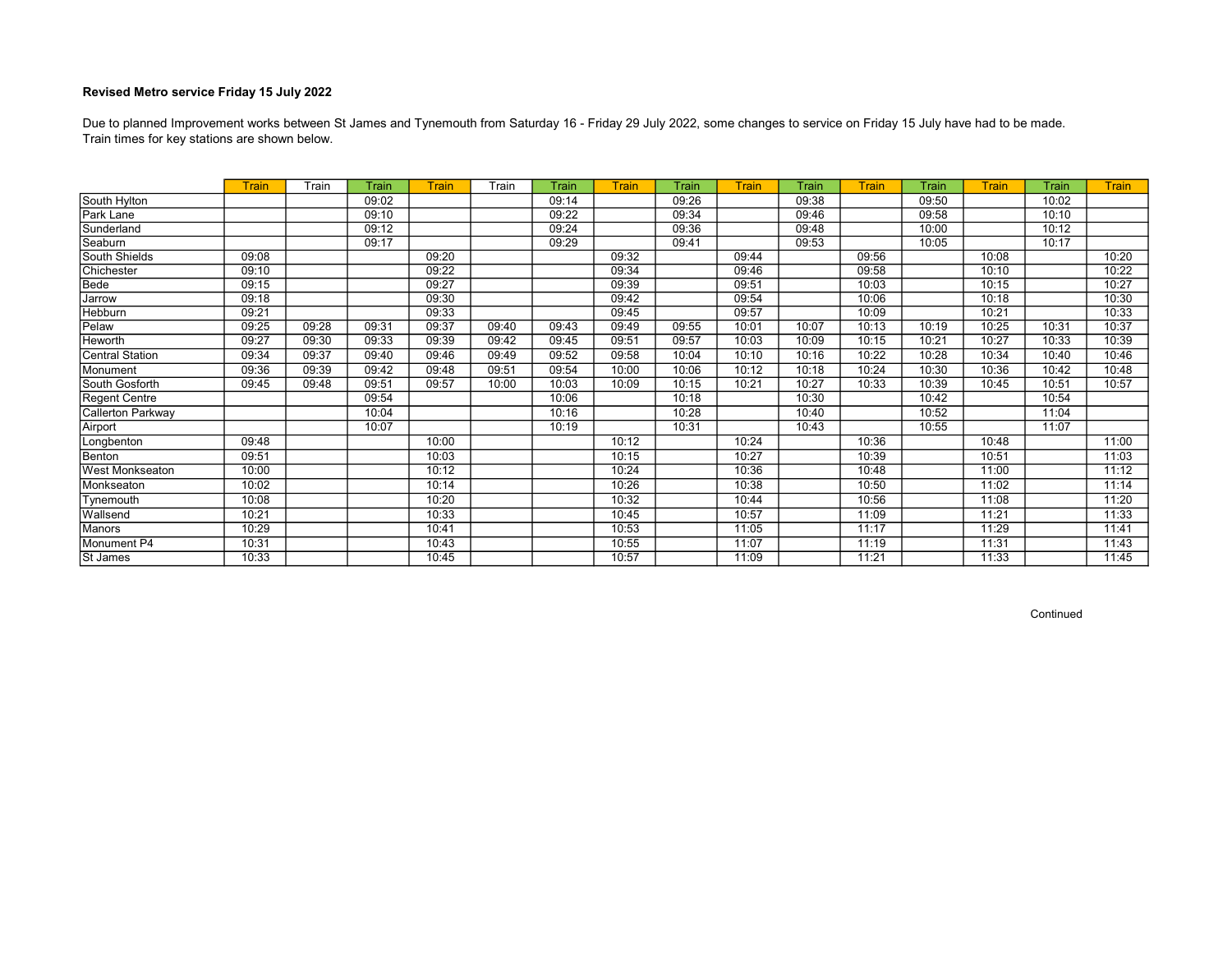Train times for key stations are shown below. Due to planned Improvement works between St James and Tynemouth from Saturday 16 - Friday 29 July 2022, some changes to service on Friday 15 July have had to be made.

|                          | Train | Train | Train | Train | Train | Train | <b>Train</b> | Train | Train | Train | Train | Train | Train | Train | <b>Train</b> |
|--------------------------|-------|-------|-------|-------|-------|-------|--------------|-------|-------|-------|-------|-------|-------|-------|--------------|
| South Hylton             |       |       | 09:02 |       |       | 09:14 |              | 09:26 |       | 09:38 |       | 09:50 |       | 10:02 |              |
| Park Lane                |       |       | 09:10 |       |       | 09:22 |              | 09:34 |       | 09:46 |       | 09:58 |       | 10:10 |              |
| Sunderland               |       |       | 09:12 |       |       | 09:24 |              | 09:36 |       | 09:48 |       | 10:00 |       | 10:12 |              |
| Seaburn                  |       |       | 09:17 |       |       | 09:29 |              | 09:41 |       | 09:53 |       | 10:05 |       | 10:17 |              |
| South Shields            | 09:08 |       |       | 09:20 |       |       | 09:32        |       | 09:44 |       | 09:56 |       | 10:08 |       | 10:20        |
| Chichester               | 09:10 |       |       | 09:22 |       |       | 09:34        |       | 09:46 |       | 09:58 |       | 10:10 |       | 10:22        |
| Bede                     | 09:15 |       |       | 09:27 |       |       | 09:39        |       | 09:51 |       | 10:03 |       | 10:15 |       | 10:27        |
| Jarrow                   | 09:18 |       |       | 09:30 |       |       | 09:42        |       | 09:54 |       | 10:06 |       | 10:18 |       | 10:30        |
| <b>Hebburn</b>           | 09:21 |       |       | 09:33 |       |       | 09:45        |       | 09:57 |       | 10:09 |       | 10:21 |       | 10:33        |
| Pelaw                    | 09:25 | 09:28 | 09:31 | 09:37 | 09:40 | 09:43 | 09:49        | 09:55 | 10:01 | 10:07 | 10:13 | 10:19 | 10:25 | 10:31 | 10:37        |
| Heworth                  | 09:27 | 09:30 | 09:33 | 09:39 | 09:42 | 09:45 | 09:51        | 09:57 | 10:03 | 10:09 | 10:15 | 10:21 | 10:27 | 10:33 | 10:39        |
| <b>Central Station</b>   | 09:34 | 09:37 | 09:40 | 09:46 | 09:49 | 09:52 | 09:58        | 10:04 | 10:10 | 10:16 | 10:22 | 10:28 | 10:34 | 10:40 | 10:46        |
| Monument                 | 09:36 | 09:39 | 09:42 | 09:48 | 09:51 | 09:54 | 10:00        | 10:06 | 10:12 | 10:18 | 10:24 | 10:30 | 10:36 | 10:42 | 10:48        |
| South Gosforth           | 09:45 | 09:48 | 09:51 | 09:57 | 10:00 | 10:03 | 10:09        | 10:15 | 10:21 | 10:27 | 10:33 | 10:39 | 10:45 | 10:51 | 10:57        |
| Regent Centre            |       |       | 09:54 |       |       | 10:06 |              | 10:18 |       | 10:30 |       | 10:42 |       | 10:54 |              |
| <b>Callerton Parkway</b> |       |       | 10:04 |       |       | 10:16 |              | 10:28 |       | 10:40 |       | 10:52 |       | 11:04 |              |
| Airport                  |       |       | 10:07 |       |       | 10:19 |              | 10:31 |       | 10:43 |       | 10:55 |       | 11:07 |              |
| Longbenton               | 09:48 |       |       | 10:00 |       |       | 10:12        |       | 10:24 |       | 10:36 |       | 10:48 |       | 11:00        |
| Benton                   | 09:51 |       |       | 10:03 |       |       | 10:15        |       | 10:27 |       | 10:39 |       | 10:51 |       | 11:03        |
| <b>West Monkseaton</b>   | 10:00 |       |       | 10:12 |       |       | 10:24        |       | 10:36 |       | 10:48 |       | 11:00 |       | 11:12        |
| Monkseaton               | 10:02 |       |       | 10:14 |       |       | 10:26        |       | 10:38 |       | 10:50 |       | 11:02 |       | 11:14        |
| Tynemouth                | 10:08 |       |       | 10:20 |       |       | 10:32        |       | 10:44 |       | 10:56 |       | 11:08 |       | 11:20        |
| Wallsend                 | 10:21 |       |       | 10:33 |       |       | 10:45        |       | 10:57 |       | 11:09 |       | 11:21 |       | 11:33        |
| Manors                   | 10:29 |       |       | 10:41 |       |       | 10:53        |       | 11:05 |       | 11:17 |       | 11:29 |       | 11:41        |
| Monument P4              | 10:31 |       |       | 10:43 |       |       | 10:55        |       | 11:07 |       | 11:19 |       | 11:31 |       | 11:43        |
| St James                 | 10:33 |       |       | 10:45 |       |       | 10:57        |       | 11:09 |       | 11:21 |       | 11:33 |       | 11:45        |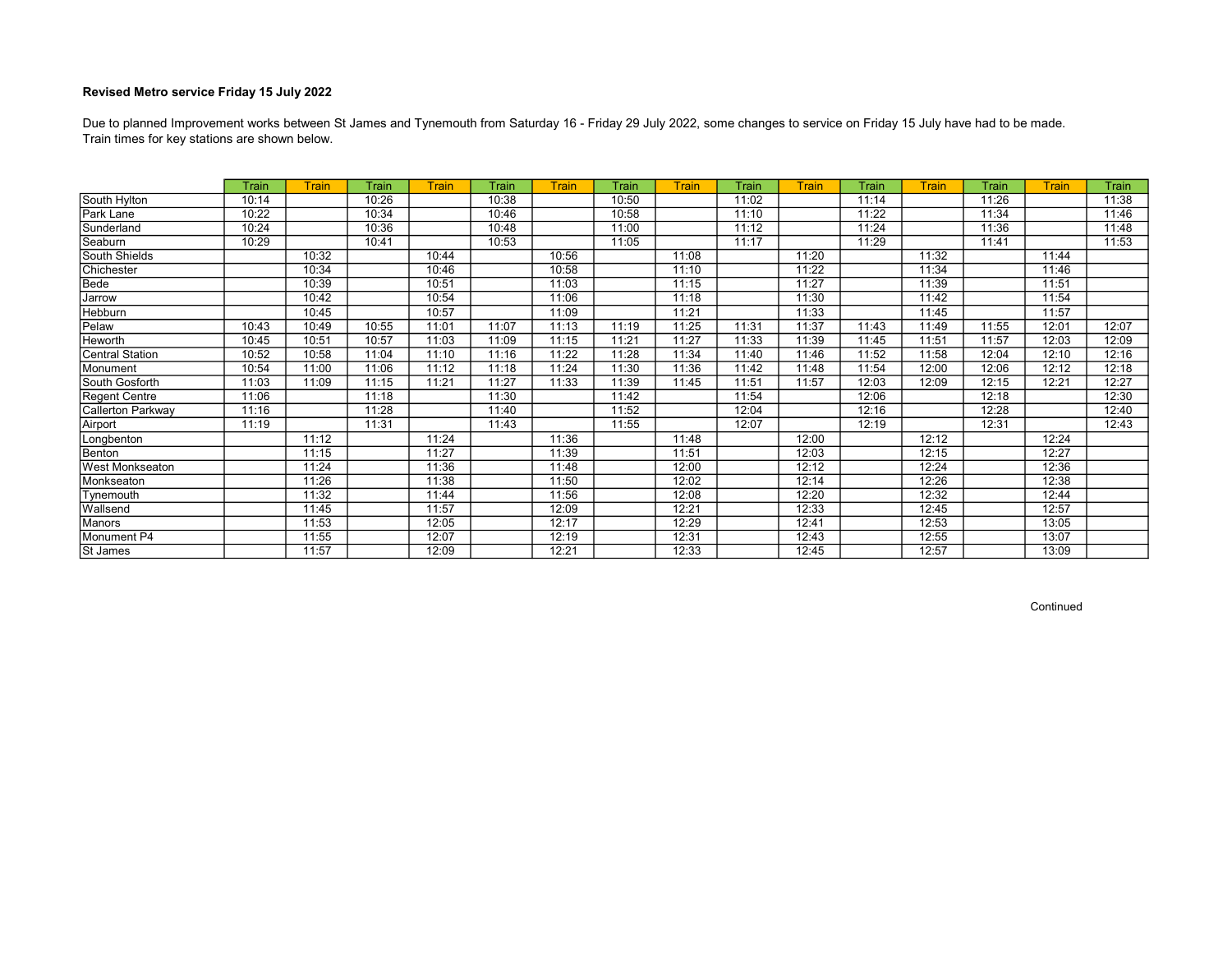Train times for key stations are shown below. Due to planned Improvement works between St James and Tynemouth from Saturday 16 - Friday 29 July 2022, some changes to service on Friday 15 July have had to be made.

|                        | Train | Train | Train | <b>Train</b> | Train | Train | Train | Train | <b>Train</b> | Train | <b>Train</b> | <b>Train</b> | Train | <b>Train</b> | <b>Train</b> |
|------------------------|-------|-------|-------|--------------|-------|-------|-------|-------|--------------|-------|--------------|--------------|-------|--------------|--------------|
| South Hylton           | 10:14 |       | 10:26 |              | 10:38 |       | 10:50 |       | 11:02        |       | 11:14        |              | 11:26 |              | 11:38        |
| Park Lane              | 10:22 |       | 10:34 |              | 10:46 |       | 10:58 |       | 11:10        |       | 11:22        |              | 11:34 |              | 11:46        |
| Sunderland             | 10:24 |       | 10:36 |              | 10:48 |       | 11:00 |       | 11:12        |       | 11:24        |              | 11:36 |              | 11:48        |
| Seaburn                | 10:29 |       | 10:41 |              | 10:53 |       | 11:05 |       | 11:17        |       | 11:29        |              | 11:41 |              | 11:53        |
| South Shields          |       | 10:32 |       | 10:44        |       | 10:56 |       | 11:08 |              | 11:20 |              | 11:32        |       | 11:44        |              |
| Chichester             |       | 10:34 |       | 10:46        |       | 10:58 |       | 11:10 |              | 11:22 |              | 11:34        |       | 11:46        |              |
| Bede                   |       | 10:39 |       | 10:51        |       | 11:03 |       | 11:15 |              | 11:27 |              | 11:39        |       | 11:51        |              |
| Jarrow                 |       | 10:42 |       | 10:54        |       | 11:06 |       | 11:18 |              | 11:30 |              | 11:42        |       | 11:54        |              |
| Hebburn                |       | 10:45 |       | 10:57        |       | 11:09 |       | 11:21 |              | 11:33 |              | 11:45        |       | 11:57        |              |
| Pelaw                  | 10:43 | 10:49 | 10:55 | 11:01        | 11:07 | 11:13 | 11:19 | 11:25 | 11:31        | 11:37 | 11:43        | 11:49        | 11:55 | 12:01        | 12:07        |
| Heworth                | 10:45 | 10:51 | 10:57 | 11:03        | 11:09 | 11:15 | 11:21 | 11:27 | 11:33        | 11:39 | 11:45        | 11:51        | 11:57 | 12:03        | 12:09        |
| <b>Central Station</b> | 10:52 | 10:58 | 11:04 | 11:10        | 11:16 | 11:22 | 11:28 | 11:34 | 11:40        | 11:46 | 11:52        | 11:58        | 12:04 | 12:10        | 12:16        |
| Monument               | 10:54 | 11:00 | 11:06 | 11:12        | 11:18 | 11:24 | 11:30 | 11:36 | 11:42        | 11:48 | 11:54        | 12:00        | 12:06 | 12:12        | 12:18        |
| South Gosforth         | 11:03 | 11:09 | 11:15 | 11:21        | 11:27 | 11:33 | 11:39 | 11:45 | 11:51        | 11:57 | 12:03        | 12:09        | 12:15 | 12:21        | 12:27        |
| Regent Centre          | 11:06 |       | 11:18 |              | 11:30 |       | 11:42 |       | 11:54        |       | 12:06        |              | 12:18 |              | 12:30        |
| Callerton Parkway      | 11:16 |       | 11:28 |              | 11:40 |       | 11:52 |       | 12:04        |       | 12:16        |              | 12:28 |              | 12:40        |
| Airport                | 11:19 |       | 11:31 |              | 11:43 |       | 11:55 |       | 12:07        |       | 12:19        |              | 12:31 |              | 12:43        |
| Longbenton             |       | 11:12 |       | 11:24        |       | 11:36 |       | 11:48 |              | 12:00 |              | 12:12        |       | 12:24        |              |
| Benton                 |       | 11:15 |       | 11:27        |       | 11:39 |       | 11:51 |              | 12:03 |              | 12:15        |       | 12:27        |              |
| <b>West Monkseaton</b> |       | 11:24 |       | 11:36        |       | 11:48 |       | 12:00 |              | 12:12 |              | 12:24        |       | 12:36        |              |
| Monkseaton             |       | 11:26 |       | 11:38        |       | 11:50 |       | 12:02 |              | 12:14 |              | 12:26        |       | 12:38        |              |
| Tynemouth              |       | 11:32 |       | 11:44        |       | 11:56 |       | 12:08 |              | 12:20 |              | 12:32        |       | 12:44        |              |
| Wallsend               |       | 11:45 |       | 11:57        |       | 12:09 |       | 12:21 |              | 12:33 |              | 12:45        |       | 12:57        |              |
| <b>Manors</b>          |       | 11:53 |       | 12:05        |       | 12:17 |       | 12:29 |              | 12:41 |              | 12:53        |       | 13:05        |              |
| Monument P4            |       | 11:55 |       | 12:07        |       | 12:19 |       | 12:31 |              | 12:43 |              | 12:55        |       | 13:07        |              |
| St James               |       | 11:57 |       | 12:09        |       | 12:21 |       | 12:33 |              | 12:45 |              | 12:57        |       | 13:09        |              |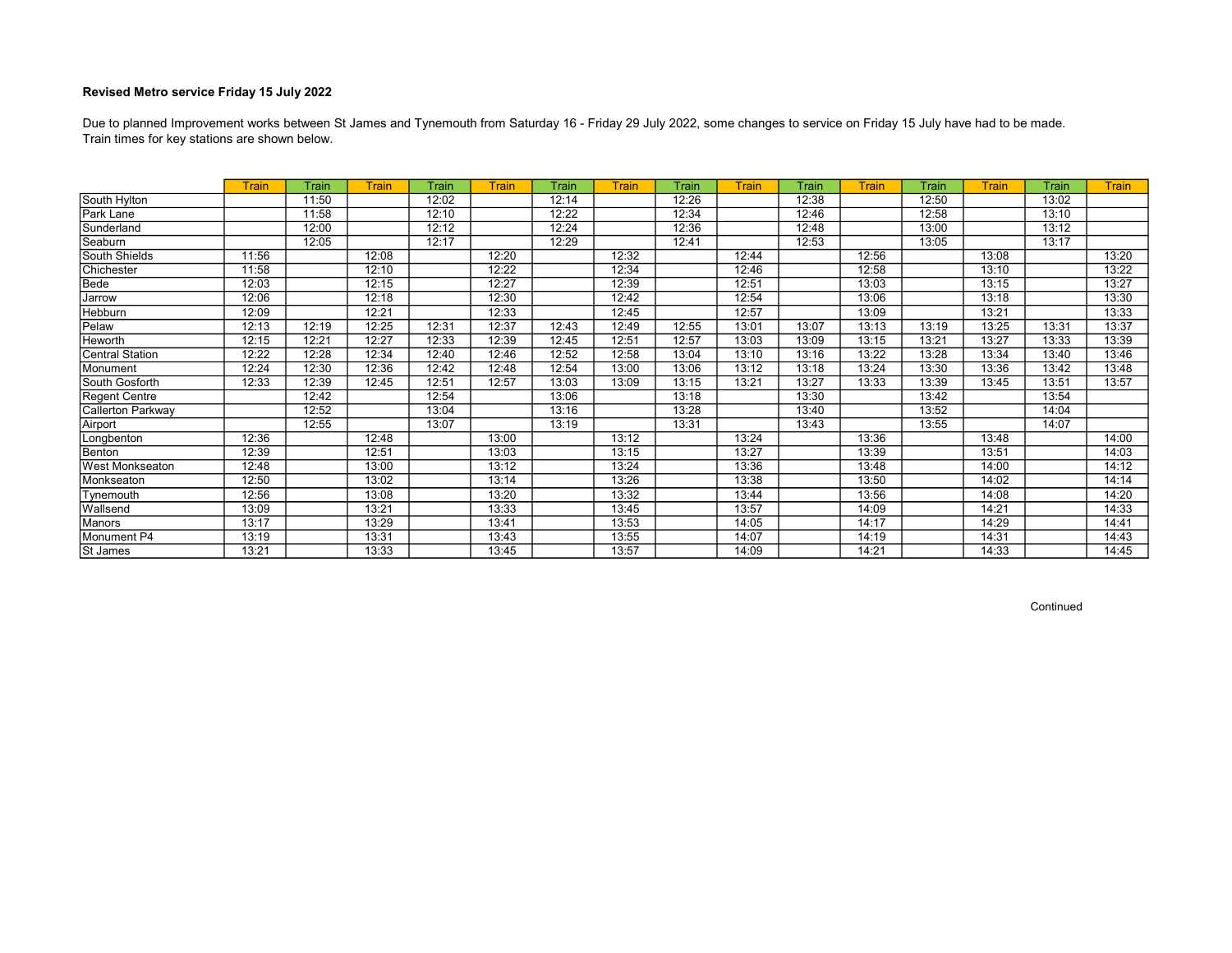Train times for key stations are shown below. Due to planned Improvement works between St James and Tynemouth from Saturday 16 - Friday 29 July 2022, some changes to service on Friday 15 July have had to be made.

|                        | Train | Train | <b>Train</b> | Train | Train | Train | Train | Train | Train | Train | <b>Train</b> | Train | Train | Train | <b>Train</b> |
|------------------------|-------|-------|--------------|-------|-------|-------|-------|-------|-------|-------|--------------|-------|-------|-------|--------------|
| South Hylton           |       | 11:50 |              | 12:02 |       | 12:14 |       | 12:26 |       | 12:38 |              | 12:50 |       | 13:02 |              |
| Park Lane              |       | 11:58 |              | 12:10 |       | 12:22 |       | 12:34 |       | 12:46 |              | 12:58 |       | 13:10 |              |
| Sunderland             |       | 12:00 |              | 12:12 |       | 12:24 |       | 12:36 |       | 12:48 |              | 13:00 |       | 13:12 |              |
| Seaburn                |       | 12:05 |              | 12:17 |       | 12:29 |       | 12:41 |       | 12:53 |              | 13:05 |       | 13:17 |              |
| South Shields          | 11:56 |       | 12:08        |       | 12:20 |       | 12:32 |       | 12:44 |       | 12:56        |       | 13:08 |       | 13:20        |
| Chichester             | 11:58 |       | 12:10        |       | 12:22 |       | 12:34 |       | 12:46 |       | 12:58        |       | 13:10 |       | 13:22        |
| Bede                   | 12:03 |       | 12:15        |       | 12:27 |       | 12:39 |       | 12:51 |       | 13:03        |       | 13:15 |       | 13:27        |
| Jarrow                 | 12:06 |       | 12:18        |       | 12:30 |       | 12:42 |       | 12:54 |       | 13:06        |       | 13:18 |       | 13:30        |
| Hebburn                | 12:09 |       | 12:21        |       | 12:33 |       | 12:45 |       | 12:57 |       | 13:09        |       | 13:21 |       | 13:33        |
| Pelaw                  | 12:13 | 12:19 | 12:25        | 12:31 | 12:37 | 12:43 | 12:49 | 12:55 | 13:01 | 13:07 | 13:13        | 13:19 | 13:25 | 13:31 | 13:37        |
| Heworth                | 12:15 | 12:21 | 12:27        | 12:33 | 12:39 | 12:45 | 12:51 | 12:57 | 13:03 | 13:09 | 13:15        | 13:21 | 13:27 | 13:33 | 13:39        |
| <b>Central Station</b> | 12:22 | 12:28 | 12:34        | 12:40 | 12:46 | 12:52 | 12:58 | 13:04 | 13:10 | 13:16 | 13:22        | 13:28 | 13:34 | 13:40 | 13:46        |
| Monument               | 12:24 | 12:30 | 12:36        | 12:42 | 12:48 | 12:54 | 13:00 | 13:06 | 13:12 | 13:18 | 13:24        | 13:30 | 13:36 | 13:42 | 13:48        |
| South Gosforth         | 12:33 | 12:39 | 12:45        | 12:51 | 12:57 | 13:03 | 13:09 | 13:15 | 13:21 | 13:27 | 13:33        | 13:39 | 13:45 | 13:51 | 13:57        |
| Regent Centre          |       | 12:42 |              | 12:54 |       | 13:06 |       | 13:18 |       | 13:30 |              | 13:42 |       | 13:54 |              |
| Callerton Parkway      |       | 12:52 |              | 13:04 |       | 13:16 |       | 13:28 |       | 13:40 |              | 13:52 |       | 14:04 |              |
| Airport                |       | 12:55 |              | 13:07 |       | 13:19 |       | 13:31 |       | 13:43 |              | 13:55 |       | 14:07 |              |
| Longbenton             | 12:36 |       | 12:48        |       | 13:00 |       | 13:12 |       | 13:24 |       | 13:36        |       | 13:48 |       | 14:00        |
| Benton                 | 12:39 |       | 12:51        |       | 13:03 |       | 13:15 |       | 13:27 |       | 13:39        |       | 13:51 |       | 14:03        |
| <b>West Monkseaton</b> | 12:48 |       | 13:00        |       | 13:12 |       | 13:24 |       | 13:36 |       | 13:48        |       | 14:00 |       | 14:12        |
| Monkseaton             | 12:50 |       | 13:02        |       | 13:14 |       | 13:26 |       | 13:38 |       | 13:50        |       | 14:02 |       | 14:14        |
| Tynemouth              | 12:56 |       | 13:08        |       | 13:20 |       | 13:32 |       | 13:44 |       | 13:56        |       | 14:08 |       | 14:20        |
| Wallsend               | 13:09 |       | 13:21        |       | 13:33 |       | 13:45 |       | 13:57 |       | 14:09        |       | 14:21 |       | 14:33        |
| Manors                 | 13:17 |       | 13:29        |       | 13:41 |       | 13:53 |       | 14:05 |       | 14:17        |       | 14:29 |       | 14:41        |
| Monument P4            | 13:19 |       | 13:31        |       | 13:43 |       | 13:55 |       | 14:07 |       | 14:19        |       | 14:31 |       | 14:43        |
| St James               | 13:21 |       | 13:33        |       | 13:45 |       | 13:57 |       | 14:09 |       | 14:21        |       | 14:33 |       | 14:45        |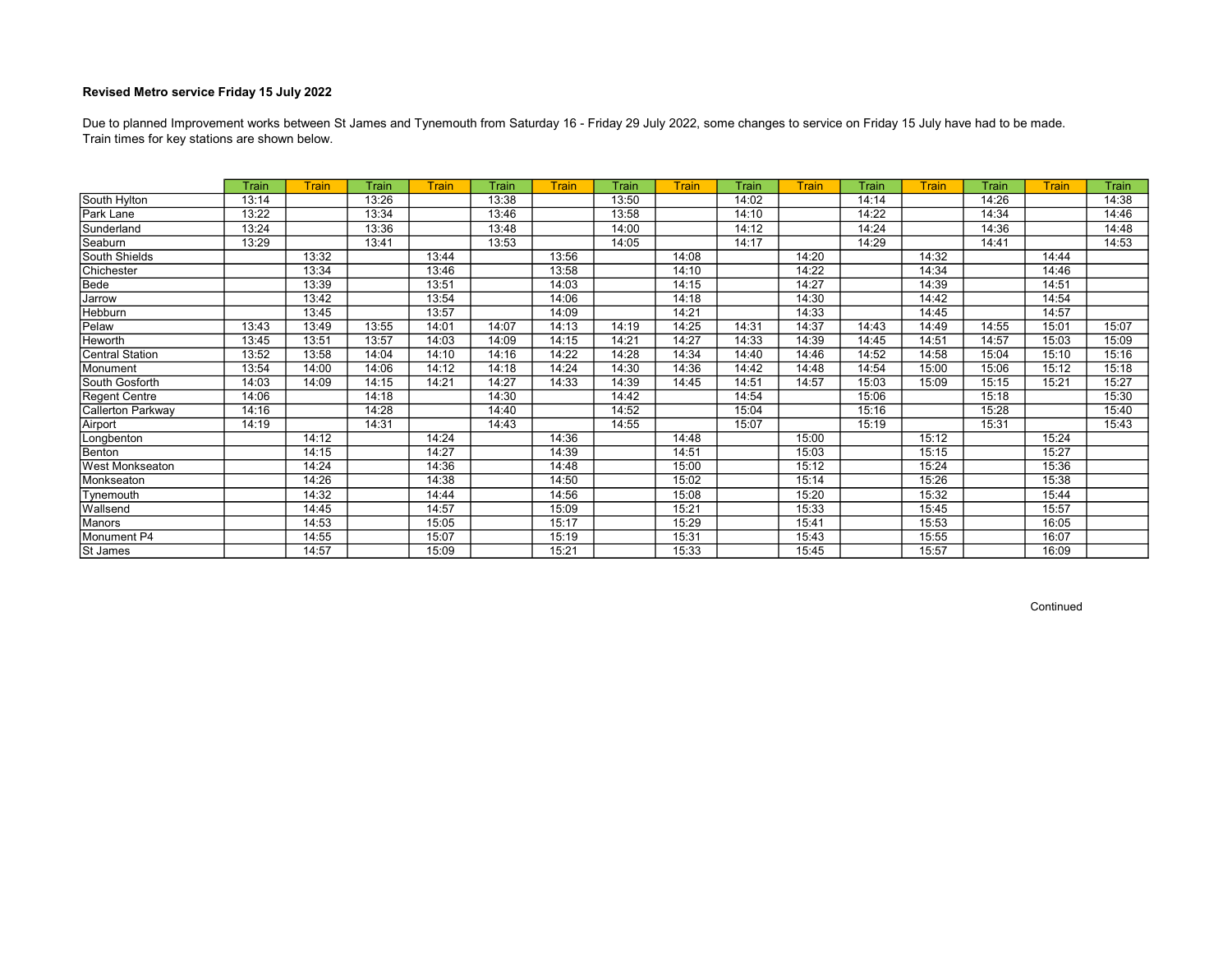Train times for key stations are shown below. Due to planned Improvement works between St James and Tynemouth from Saturday 16 - Friday 29 July 2022, some changes to service on Friday 15 July have had to be made.

|                        | Train | Train | Train | <b>Train</b> | Train | Train | Train | <b>Train</b> | Train | Train | <b>Train</b> | <b>Train</b> | Train | <b>Train</b> | <b>Train</b> |
|------------------------|-------|-------|-------|--------------|-------|-------|-------|--------------|-------|-------|--------------|--------------|-------|--------------|--------------|
| South Hylton           | 13:14 |       | 13:26 |              | 13:38 |       | 13:50 |              | 14:02 |       | 14:14        |              | 14:26 |              | 14:38        |
| Park Lane              | 13:22 |       | 13:34 |              | 13:46 |       | 13:58 |              | 14:10 |       | 14:22        |              | 14:34 |              | 14:46        |
| Sunderland             | 13:24 |       | 13:36 |              | 13:48 |       | 14:00 |              | 14:12 |       | 14:24        |              | 14:36 |              | 14:48        |
| Seaburn                | 13:29 |       | 13:41 |              | 13:53 |       | 14:05 |              | 14:17 |       | 14:29        |              | 14:41 |              | 14:53        |
| South Shields          |       | 13:32 |       | 13:44        |       | 13:56 |       | 14:08        |       | 14:20 |              | 14:32        |       | 14:44        |              |
| Chichester             |       | 13:34 |       | 13:46        |       | 13:58 |       | 14:10        |       | 14:22 |              | 14:34        |       | 14:46        |              |
| Bede                   |       | 13:39 |       | 13:51        |       | 14:03 |       | 14:15        |       | 14:27 |              | 14:39        |       | 14:51        |              |
| Jarrow                 |       | 13:42 |       | 13:54        |       | 14:06 |       | 14:18        |       | 14:30 |              | 14:42        |       | 14:54        |              |
| Hebburn                |       | 13:45 |       | 13:57        |       | 14:09 |       | 14:21        |       | 14:33 |              | 14:45        |       | 14:57        |              |
| Pelaw                  | 13:43 | 13:49 | 13:55 | 14:01        | 14:07 | 14:13 | 14:19 | 14:25        | 14:31 | 14:37 | 14:43        | 14:49        | 14:55 | 15:01        | 15:07        |
| Heworth                | 13:45 | 13:51 | 13:57 | 14:03        | 14:09 | 14:15 | 14:21 | 14:27        | 14:33 | 14:39 | 14:45        | 14:51        | 14:57 | 15:03        | 15:09        |
| <b>Central Station</b> | 13:52 | 13:58 | 14:04 | 14:10        | 14:16 | 14:22 | 14:28 | 14:34        | 14:40 | 14:46 | 14:52        | 14:58        | 15:04 | 15:10        | 15:16        |
| Monument               | 13:54 | 14:00 | 14:06 | 14:12        | 14:18 | 14:24 | 14:30 | 14:36        | 14:42 | 14:48 | 14:54        | 15:00        | 15:06 | 15:12        | 15:18        |
| South Gosforth         | 14:03 | 14:09 | 14:15 | 14:21        | 14:27 | 14:33 | 14:39 | 14:45        | 14:51 | 14:57 | 15:03        | 15:09        | 15:15 | 15:21        | 15:27        |
| Regent Centre          | 14:06 |       | 14:18 |              | 14:30 |       | 14:42 |              | 14:54 |       | 15:06        |              | 15:18 |              | 15:30        |
| Callerton Parkway      | 14:16 |       | 14:28 |              | 14:40 |       | 14:52 |              | 15:04 |       | 15:16        |              | 15:28 |              | 15:40        |
| Airport                | 14:19 |       | 14:31 |              | 14:43 |       | 14:55 |              | 15:07 |       | 15:19        |              | 15:31 |              | 15:43        |
| Longbenton             |       | 14:12 |       | 14:24        |       | 14:36 |       | 14:48        |       | 15:00 |              | 15:12        |       | 15:24        |              |
| Benton                 |       | 14:15 |       | 14:27        |       | 14:39 |       | 14:51        |       | 15:03 |              | 15:15        |       | 15:27        |              |
| West Monkseaton        |       | 14:24 |       | 14:36        |       | 14:48 |       | 15:00        |       | 15:12 |              | 15:24        |       | 15:36        |              |
| Monkseaton             |       | 14:26 |       | 14:38        |       | 14:50 |       | 15:02        |       | 15:14 |              | 15:26        |       | 15:38        |              |
| Tynemouth              |       | 14:32 |       | 14:44        |       | 14:56 |       | 15:08        |       | 15:20 |              | 15:32        |       | 15:44        |              |
| Wallsend               |       | 14:45 |       | 14:57        |       | 15:09 |       | 15:21        |       | 15:33 |              | 15:45        |       | 15:57        |              |
| Manors                 |       | 14:53 |       | 15:05        |       | 15:17 |       | 15:29        |       | 15:41 |              | 15:53        |       | 16:05        |              |
| Monument P4            |       | 14:55 |       | 15:07        |       | 15:19 |       | 15:31        |       | 15:43 |              | 15:55        |       | 16:07        |              |
| St James               |       | 14:57 |       | 15:09        |       | 15:21 |       | 15:33        |       | 15:45 |              | 15:57        |       | 16:09        |              |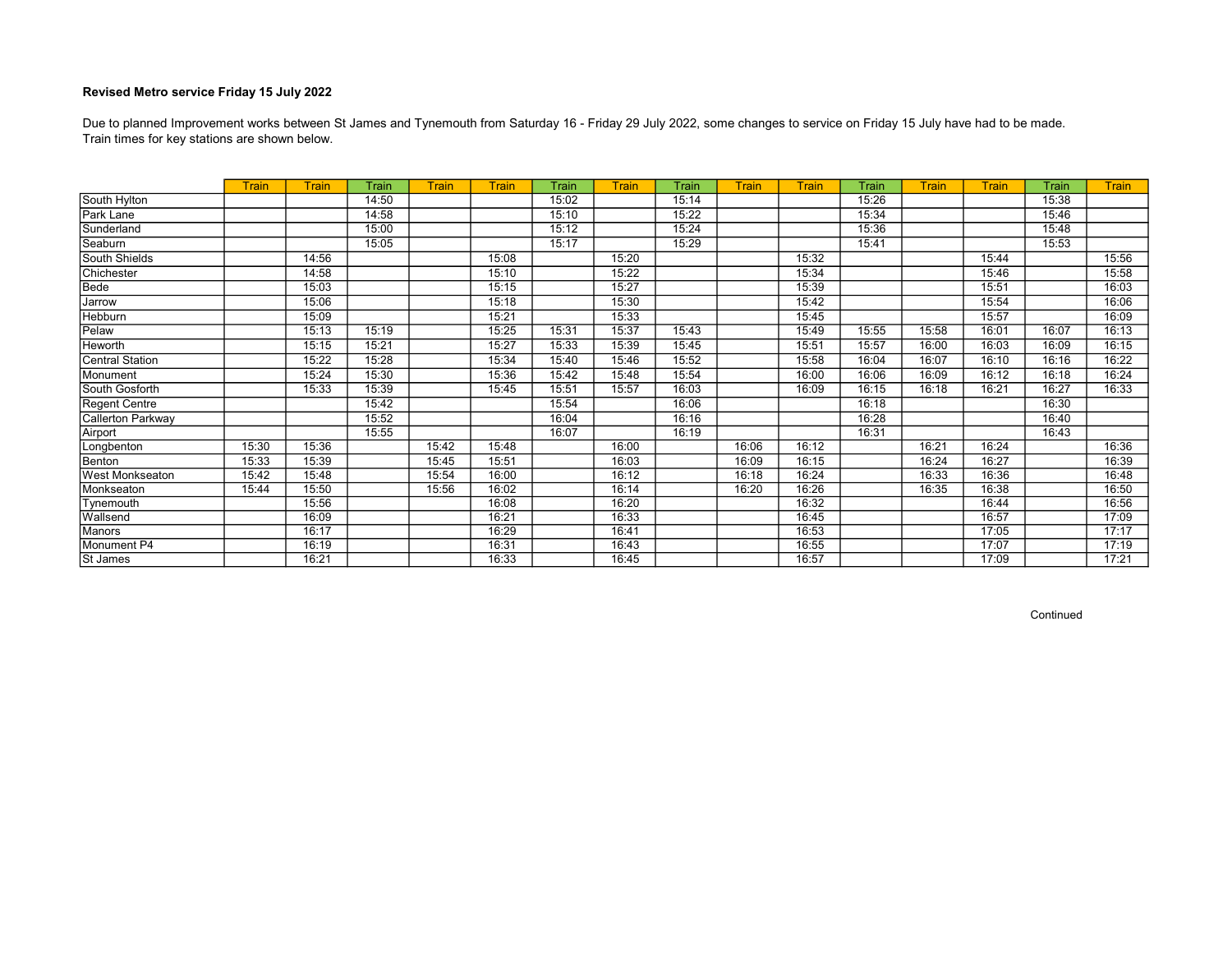Train times for key stations are shown below. Due to planned Improvement works between St James and Tynemouth from Saturday 16 - Friday 29 July 2022, some changes to service on Friday 15 July have had to be made.

|                        | <b>Train</b> | <b>Train</b> | Train | <b>Train</b> | <b>Train</b> | Train | <b>Train</b> | Train | <b>Train</b> | Train | Train | <b>Train</b> | Train | Train | <b>Train</b> |
|------------------------|--------------|--------------|-------|--------------|--------------|-------|--------------|-------|--------------|-------|-------|--------------|-------|-------|--------------|
| South Hylton           |              |              | 14:50 |              |              | 15:02 |              | 15:14 |              |       | 15:26 |              |       | 15:38 |              |
| Park Lane              |              |              | 14:58 |              |              | 15:10 |              | 15:22 |              |       | 15:34 |              |       | 15:46 |              |
| Sunderland             |              |              | 15:00 |              |              | 15:12 |              | 15:24 |              |       | 15:36 |              |       | 15:48 |              |
| Seaburn                |              |              | 15:05 |              |              | 15:17 |              | 15:29 |              |       | 15:41 |              |       | 15:53 |              |
| South Shields          |              | 14:56        |       |              | 15:08        |       | 15:20        |       |              | 15:32 |       |              | 15:44 |       | 15:56        |
| Chichester             |              | 14:58        |       |              | 15:10        |       | 15:22        |       |              | 15:34 |       |              | 15:46 |       | 15:58        |
| Bede                   |              | 15:03        |       |              | 15:15        |       | 15:27        |       |              | 15:39 |       |              | 15:51 |       | 16:03        |
| Jarrow                 |              | 15:06        |       |              | 15:18        |       | 15:30        |       |              | 15:42 |       |              | 15:54 |       | 16:06        |
| Hebburn                |              | 15:09        |       |              | 15:21        |       | 15:33        |       |              | 15:45 |       |              | 15:57 |       | 16:09        |
| Pelaw                  |              | 15:13        | 15:19 |              | 15:25        | 15:31 | 15:37        | 15:43 |              | 15:49 | 15:55 | 15:58        | 16:01 | 16:07 | 16:13        |
| <b>Heworth</b>         |              | 15:15        | 15:21 |              | 15:27        | 15:33 | 15:39        | 15:45 |              | 15:51 | 15:57 | 16:00        | 16:03 | 16:09 | 16:15        |
| Central Station        |              | 15:22        | 15:28 |              | 15:34        | 15:40 | 15:46        | 15:52 |              | 15:58 | 16:04 | 16:07        | 16:10 | 16:16 | 16:22        |
| Monument               |              | 15:24        | 15:30 |              | 15:36        | 15:42 | 15:48        | 15:54 |              | 16:00 | 16:06 | 16:09        | 16:12 | 16:18 | 16:24        |
| South Gosforth         |              | 15:33        | 15:39 |              | 15:45        | 15:51 | 15:57        | 16:03 |              | 16:09 | 16:15 | 16:18        | 16:21 | 16:27 | 16:33        |
| Regent Centre          |              |              | 15:42 |              |              | 15:54 |              | 16:06 |              |       | 16:18 |              |       | 16:30 |              |
| Callerton Parkway      |              |              | 15:52 |              |              | 16:04 |              | 16:16 |              |       | 16:28 |              |       | 16:40 |              |
| Airport                |              |              | 15:55 |              |              | 16:07 |              | 16:19 |              |       | 16:31 |              |       | 16:43 |              |
| Longbenton             | 15:30        | 15:36        |       | 15:42        | 15:48        |       | 16:00        |       | 16:06        | 16:12 |       | 16:21        | 16:24 |       | 16:36        |
| Benton                 | 15:33        | 15:39        |       | 15:45        | 15:51        |       | 16:03        |       | 16:09        | 16:15 |       | 16:24        | 16:27 |       | 16:39        |
| <b>West Monkseaton</b> | 15:42        | 15:48        |       | 15:54        | 16:00        |       | 16:12        |       | 16:18        | 16:24 |       | 16:33        | 16:36 |       | 16:48        |
| Monkseaton             | 15:44        | 15:50        |       | 15:56        | 16:02        |       | 16:14        |       | 16:20        | 16:26 |       | 16:35        | 16:38 |       | 16:50        |
| Tynemouth              |              | 15:56        |       |              | 16:08        |       | 16:20        |       |              | 16:32 |       |              | 16:44 |       | 16:56        |
| Wallsend               |              | 16:09        |       |              | 16:21        |       | 16:33        |       |              | 16:45 |       |              | 16:57 |       | 17:09        |
| Manors                 |              | 16:17        |       |              | 16:29        |       | 16:41        |       |              | 16:53 |       |              | 17:05 |       | 17:17        |
| Monument P4            |              | 16:19        |       |              | 16:31        |       | 16:43        |       |              | 16:55 |       |              | 17:07 |       | 17:19        |
| St James               |              | 16:21        |       |              | 16:33        |       | 16:45        |       |              | 16:57 |       |              | 17:09 |       | 17:21        |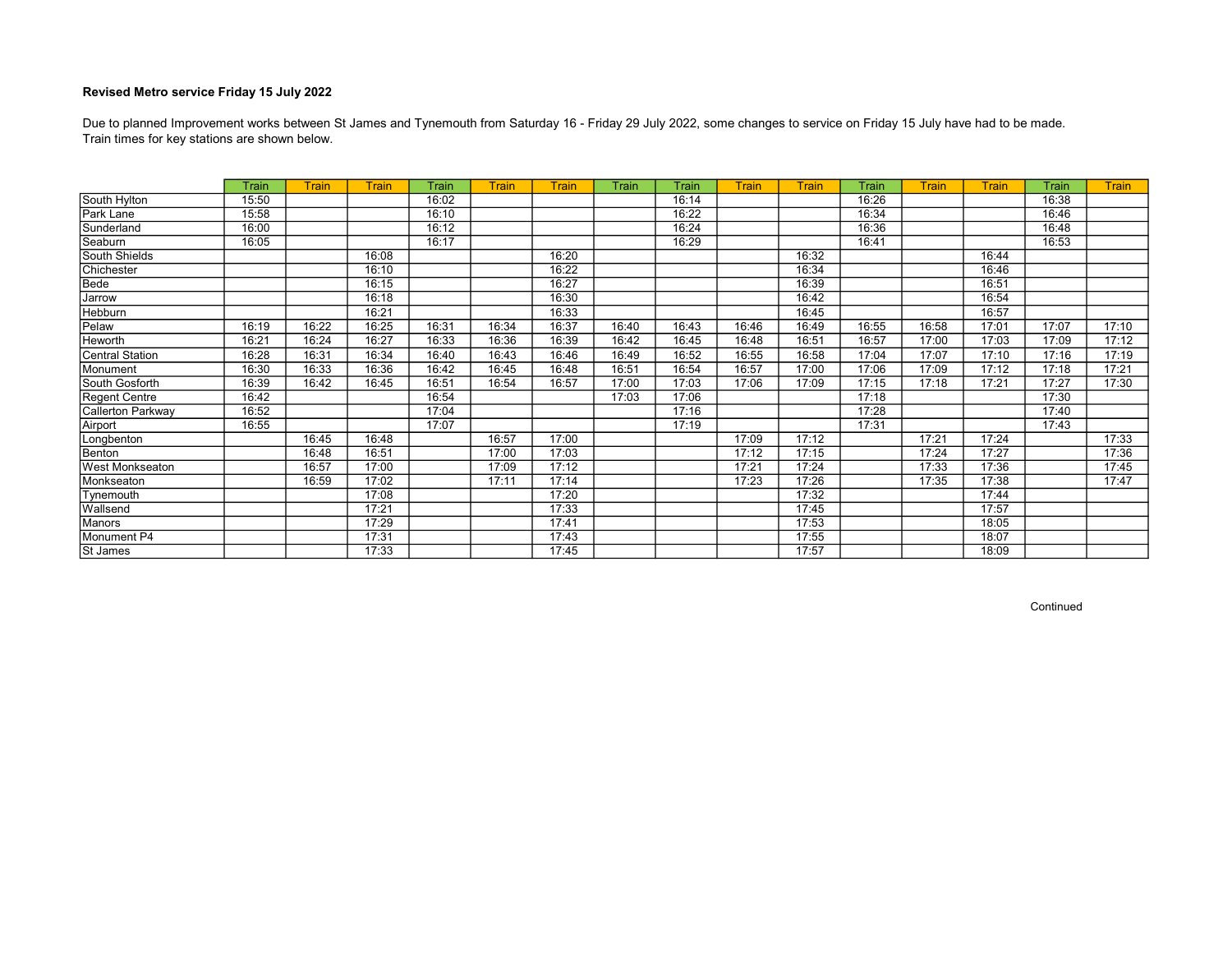Train times for key stations are shown below. Due to planned Improvement works between St James and Tynemouth from Saturday 16 - Friday 29 July 2022, some changes to service on Friday 15 July have had to be made.

|                          | Train | <b>Train</b> | <b>Train</b> | Train | <b>Train</b> | <b>Train</b> | Train | Train | <b>Train</b> | Train | Train | <b>Train</b> | <b>Train</b> | Train | <b>Train</b> |
|--------------------------|-------|--------------|--------------|-------|--------------|--------------|-------|-------|--------------|-------|-------|--------------|--------------|-------|--------------|
| South Hylton             | 15:50 |              |              | 16:02 |              |              |       | 16:14 |              |       | 16:26 |              |              | 16:38 |              |
| Park Lane                | 15:58 |              |              | 16:10 |              |              |       | 16:22 |              |       | 16:34 |              |              | 16:46 |              |
| Sunderland               | 16:00 |              |              | 16:12 |              |              |       | 16:24 |              |       | 16:36 |              |              | 16:48 |              |
| Seaburn                  | 16:05 |              |              | 16:17 |              |              |       | 16:29 |              |       | 16:41 |              |              | 16:53 |              |
| South Shields            |       |              | 16:08        |       |              | 16:20        |       |       |              | 16:32 |       |              | 16:44        |       |              |
| Chichester               |       |              | 16:10        |       |              | 16:22        |       |       |              | 16:34 |       |              | 16:46        |       |              |
| Bede                     |       |              | 16:15        |       |              | 16:27        |       |       |              | 16:39 |       |              | 16:51        |       |              |
| Jarrow                   |       |              | 16:18        |       |              | 16:30        |       |       |              | 16:42 |       |              | 16:54        |       |              |
| <b>Hebburn</b>           |       |              | 16:21        |       |              | 16:33        |       |       |              | 16:45 |       |              | 16:57        |       |              |
| Pelaw                    | 16:19 | 16:22        | 16:25        | 16:31 | 16:34        | 16:37        | 16:40 | 16:43 | 16:46        | 16:49 | 16:55 | 16:58        | 17:01        | 17:07 | 17:10        |
| Heworth                  | 16:21 | 16:24        | 16:27        | 16:33 | 16:36        | 16:39        | 16:42 | 16:45 | 16:48        | 16:51 | 16:57 | 17:00        | 17:03        | 17:09 | 17:12        |
| <b>Central Station</b>   | 16:28 | 16:31        | 16:34        | 16:40 | 16:43        | 16:46        | 16:49 | 16:52 | 16:55        | 16:58 | 17:04 | 17:07        | 17:10        | 17:16 | 17:19        |
| Monument                 | 16:30 | 16:33        | 16:36        | 16:42 | 16:45        | 16:48        | 16:51 | 16:54 | 16:57        | 17:00 | 17:06 | 17:09        | 17:12        | 17:18 | 17:21        |
| South Gosforth           | 16:39 | 16:42        | 16:45        | 16:51 | 16:54        | 16:57        | 17:00 | 17:03 | 17:06        | 17:09 | 17:15 | 17:18        | 17:21        | 17:27 | 17:30        |
| Regent Centre            | 16:42 |              |              | 16:54 |              |              | 17:03 | 17:06 |              |       | 17:18 |              |              | 17:30 |              |
| <b>Callerton Parkway</b> | 16:52 |              |              | 17:04 |              |              |       | 17:16 |              |       | 17:28 |              |              | 17:40 |              |
| Airport                  | 16:55 |              |              | 17:07 |              |              |       | 17:19 |              |       | 17:31 |              |              | 17:43 |              |
| Longbenton               |       | 16:45        | 16:48        |       | 16:57        | 17:00        |       |       | 17:09        | 17:12 |       | 17:21        | 17:24        |       | 17:33        |
| Benton                   |       | 16:48        | 16:51        |       | 17:00        | 17:03        |       |       | 17:12        | 17:15 |       | 17:24        | 17:27        |       | 17:36        |
| <b>West Monkseaton</b>   |       | 16:57        | 17:00        |       | 17:09        | 17:12        |       |       | 17:21        | 17:24 |       | 17:33        | 17:36        |       | 17:45        |
| Monkseaton               |       | 16:59        | 17:02        |       | 17:11        | 17:14        |       |       | 17:23        | 17:26 |       | 17:35        | 17:38        |       | 17:47        |
| Tynemouth                |       |              | 17:08        |       |              | 17:20        |       |       |              | 17:32 |       |              | 17:44        |       |              |
| Wallsend                 |       |              | 17:21        |       |              | 17:33        |       |       |              | 17:45 |       |              | 17:57        |       |              |
| Manors                   |       |              | 17:29        |       |              | 17:41        |       |       |              | 17:53 |       |              | 18:05        |       |              |
| Monument P4              |       |              | 17:31        |       |              | 17:43        |       |       |              | 17:55 |       |              | 18:07        |       |              |
| St James                 |       |              | 17:33        |       |              | 17:45        |       |       |              | 17:57 |       |              | 18:09        |       |              |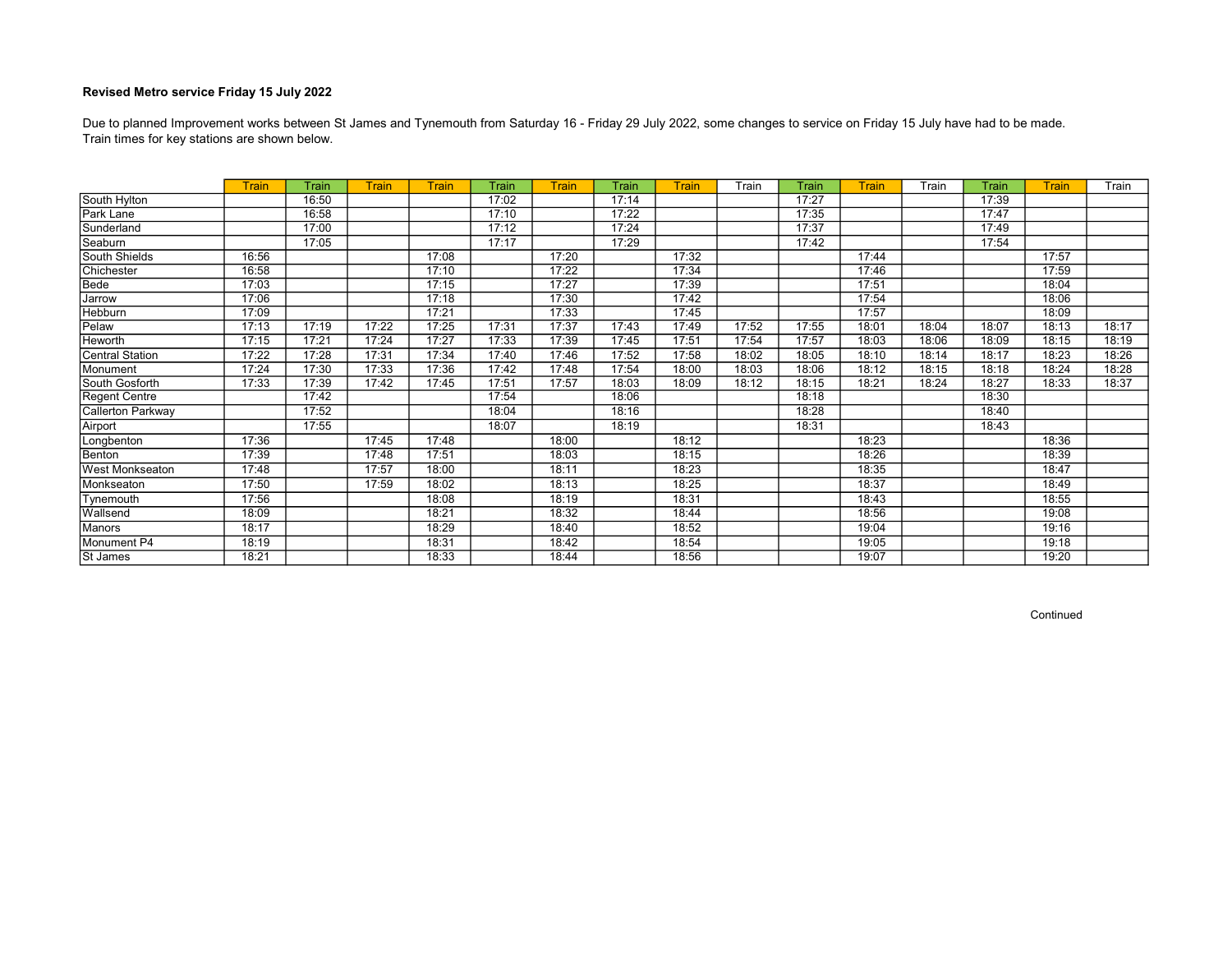Train times for key stations are shown below. Due to planned Improvement works between St James and Tynemouth from Saturday 16 - Friday 29 July 2022, some changes to service on Friday 15 July have had to be made.

|                        | <b>Train</b> | Train | Train | <b>Train</b> | Train | <b>Train</b> | Train | Train | Train | Train | <b>Train</b> | Train | Train | <b>Train</b> | Train |
|------------------------|--------------|-------|-------|--------------|-------|--------------|-------|-------|-------|-------|--------------|-------|-------|--------------|-------|
| South Hylton           |              | 16:50 |       |              | 17:02 |              | 17:14 |       |       | 17:27 |              |       | 17:39 |              |       |
| Park Lane              |              | 16:58 |       |              | 17:10 |              | 17:22 |       |       | 17:35 |              |       | 17:47 |              |       |
| Sunderland             |              | 17:00 |       |              | 17:12 |              | 17:24 |       |       | 17:37 |              |       | 17:49 |              |       |
| Seaburn                |              | 17:05 |       |              | 17:17 |              | 17:29 |       |       | 17:42 |              |       | 17:54 |              |       |
| South Shields          | 16:56        |       |       | 17:08        |       | 17:20        |       | 17:32 |       |       | 17:44        |       |       | 17:57        |       |
| Chichester             | 16:58        |       |       | 17:10        |       | 17:22        |       | 17:34 |       |       | 17:46        |       |       | 17:59        |       |
| Bede                   | 17:03        |       |       | 17:15        |       | 17:27        |       | 17:39 |       |       | 17:51        |       |       | 18:04        |       |
| Jarrow                 | 17:06        |       |       | 17:18        |       | 17:30        |       | 17:42 |       |       | 17:54        |       |       | 18:06        |       |
| Hebburn                | 17:09        |       |       | 17:21        |       | 17:33        |       | 17:45 |       |       | 17:57        |       |       | 18:09        |       |
| Pelaw                  | 17:13        | 17:19 | 17:22 | 17:25        | 17:31 | 17:37        | 17:43 | 17:49 | 17:52 | 17:55 | 18:01        | 18:04 | 18:07 | 18:13        | 18:17 |
| Heworth                | 17:15        | 17:21 | 17:24 | 17:27        | 17:33 | 17:39        | 17:45 | 17:51 | 17:54 | 17:57 | 18:03        | 18:06 | 18:09 | 18:15        | 18:19 |
| Central Station        | 17:22        | 17:28 | 17:31 | 17:34        | 17:40 | 17:46        | 17:52 | 17:58 | 18:02 | 18:05 | 18:10        | 18:14 | 18:17 | 18:23        | 18:26 |
| Monument               | 17:24        | 17:30 | 17:33 | 17:36        | 17:42 | 17:48        | 17:54 | 18:00 | 18:03 | 18:06 | 18:12        | 18:15 | 18:18 | 18:24        | 18:28 |
| South Gosforth         | 17:33        | 17:39 | 17:42 | 17:45        | 17:51 | 17:57        | 18:03 | 18:09 | 18:12 | 18:15 | 18:21        | 18:24 | 18:27 | 18:33        | 18:37 |
| Regent Centre          |              | 17:42 |       |              | 17:54 |              | 18:06 |       |       | 18:18 |              |       | 18:30 |              |       |
| Callerton Parkway      |              | 17:52 |       |              | 18:04 |              | 18:16 |       |       | 18:28 |              |       | 18:40 |              |       |
| Airport                |              | 17:55 |       |              | 18:07 |              | 18:19 |       |       | 18:31 |              |       | 18:43 |              |       |
| Longbenton             | 17:36        |       | 17:45 | 17:48        |       | 18:00        |       | 18:12 |       |       | 18:23        |       |       | 18:36        |       |
| Benton                 | 17:39        |       | 17:48 | 17:51        |       | 18:03        |       | 18:15 |       |       | 18:26        |       |       | 18:39        |       |
| <b>West Monkseaton</b> | 17:48        |       | 17:57 | 18:00        |       | 18:11        |       | 18:23 |       |       | 18:35        |       |       | 18:47        |       |
| Monkseaton             | 17:50        |       | 17:59 | 18:02        |       | 18:13        |       | 18:25 |       |       | 18:37        |       |       | 18:49        |       |
| Tynemouth              | 17:56        |       |       | 18:08        |       | 18:19        |       | 18:31 |       |       | 18:43        |       |       | 18:55        |       |
| Wallsend               | 18:09        |       |       | 18:21        |       | 18:32        |       | 18:44 |       |       | 18:56        |       |       | 19:08        |       |
| Manors                 | 18:17        |       |       | 18:29        |       | 18:40        |       | 18:52 |       |       | 19:04        |       |       | 19:16        |       |
| Monument P4            | 18:19        |       |       | 18:31        |       | 18:42        |       | 18:54 |       |       | 19:05        |       |       | 19:18        |       |
| St James               | 18:21        |       |       | 18:33        |       | 18:44        |       | 18:56 |       |       | 19:07        |       |       | 19:20        |       |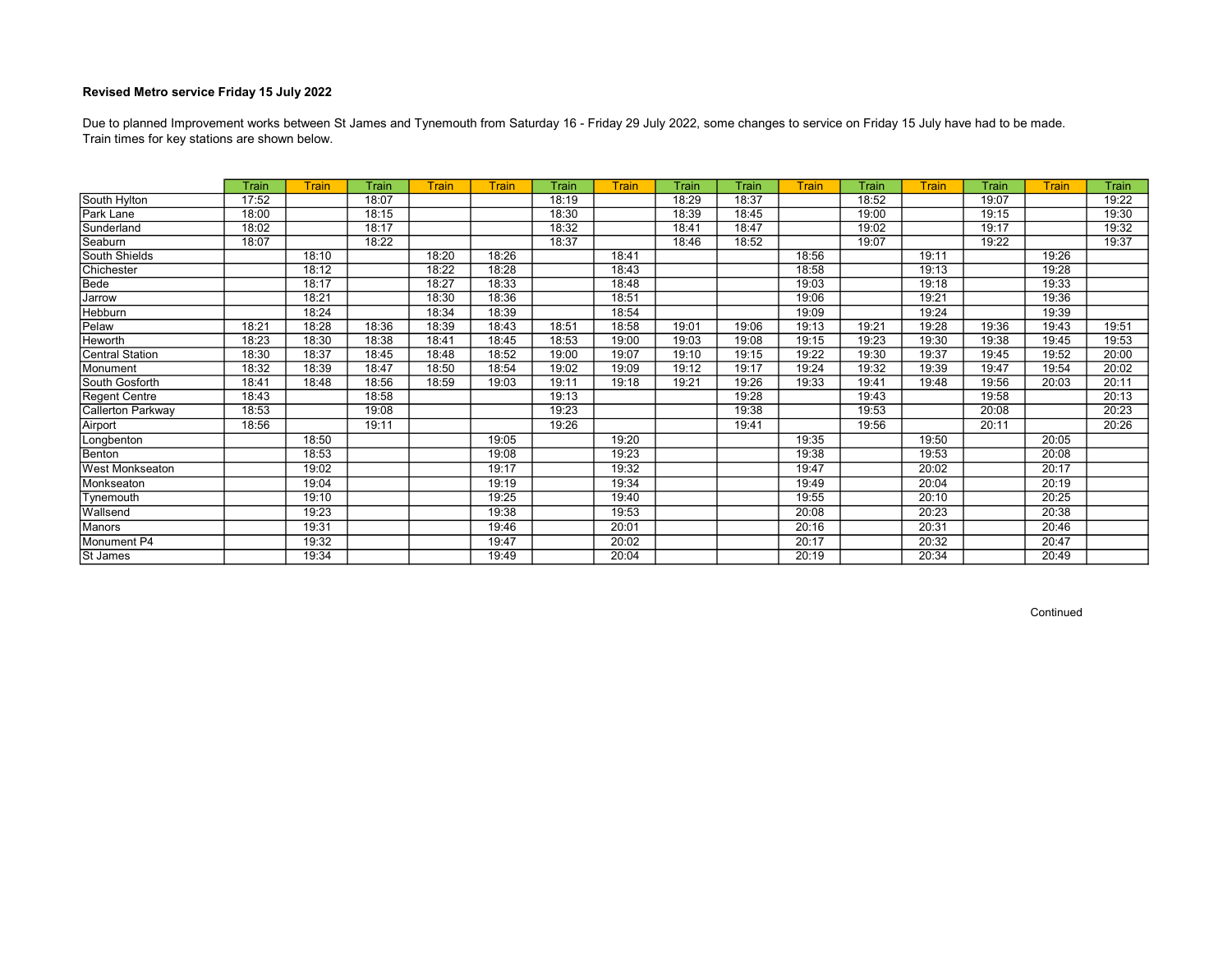Train times for key stations are shown below. Due to planned Improvement works between St James and Tynemouth from Saturday 16 - Friday 29 July 2022, some changes to service on Friday 15 July have had to be made.

|                          | Train | <b>Train</b> | Train | <b>Train</b> | <b>Train</b> | <b>Train</b> | <b>Train</b> | Train | Train | Train | Train | Train | Train | <b>Train</b> | Train |
|--------------------------|-------|--------------|-------|--------------|--------------|--------------|--------------|-------|-------|-------|-------|-------|-------|--------------|-------|
| South Hylton             | 17:52 |              | 18:07 |              |              | 18:19        |              | 18:29 | 18:37 |       | 18:52 |       | 19:07 |              | 19:22 |
| Park Lane                | 18:00 |              | 18:15 |              |              | 18:30        |              | 18:39 | 18:45 |       | 19:00 |       | 19:15 |              | 19:30 |
| Sunderland               | 18:02 |              | 18:17 |              |              | 18:32        |              | 18:41 | 18:47 |       | 19:02 |       | 19:17 |              | 19:32 |
| Seaburn                  | 18:07 |              | 18:22 |              |              | 18:37        |              | 18:46 | 18:52 |       | 19:07 |       | 19:22 |              | 19:37 |
| South Shields            |       | 18:10        |       | 18:20        | 18:26        |              | 18:41        |       |       | 18:56 |       | 19:11 |       | 19:26        |       |
| Chichester               |       | 18:12        |       | 18:22        | 18:28        |              | 18:43        |       |       | 18:58 |       | 19:13 |       | 19:28        |       |
| Bede                     |       | 18:17        |       | 18:27        | 18:33        |              | 18:48        |       |       | 19:03 |       | 19:18 |       | 19:33        |       |
| Jarrow                   |       | 18:21        |       | 18:30        | 18:36        |              | 18:51        |       |       | 19:06 |       | 19:21 |       | 19:36        |       |
| Hebburn                  |       | 18:24        |       | 18:34        | 18:39        |              | 18:54        |       |       | 19:09 |       | 19:24 |       | 19:39        |       |
| Pelaw                    | 18:21 | 18:28        | 18:36 | 18:39        | 18:43        | 18:51        | 18:58        | 19:01 | 19:06 | 19:13 | 19:21 | 19:28 | 19:36 | 19:43        | 19:51 |
| Heworth                  | 18:23 | 18:30        | 18:38 | 18:41        | 18:45        | 18:53        | 19:00        | 19:03 | 19:08 | 19:15 | 19:23 | 19:30 | 19:38 | 19:45        | 19:53 |
| Central Station          | 18:30 | 18:37        | 18:45 | 18:48        | 18:52        | 19:00        | 19:07        | 19:10 | 19:15 | 19:22 | 19:30 | 19:37 | 19:45 | 19:52        | 20:00 |
| Monument                 | 18:32 | 18:39        | 18:47 | 18:50        | 18:54        | 19:02        | 19:09        | 19:12 | 19:17 | 19:24 | 19:32 | 19:39 | 19:47 | 19:54        | 20:02 |
| South Gosforth           | 18:41 | 18:48        | 18:56 | 18:59        | 19:03        | 19:11        | 19:18        | 19:21 | 19:26 | 19:33 | 19:41 | 19:48 | 19:56 | 20:03        | 20:11 |
| Regent Centre            | 18:43 |              | 18:58 |              |              | 19:13        |              |       | 19:28 |       | 19:43 |       | 19:58 |              | 20:13 |
| <b>Callerton Parkway</b> | 18:53 |              | 19:08 |              |              | 19:23        |              |       | 19:38 |       | 19:53 |       | 20:08 |              | 20:23 |
| Airport                  | 18:56 |              | 19:11 |              |              | 19:26        |              |       | 19:41 |       | 19:56 |       | 20:11 |              | 20:26 |
| Longbenton               |       | 18:50        |       |              | 19:05        |              | 19:20        |       |       | 19:35 |       | 19:50 |       | 20:05        |       |
| Benton                   |       | 18:53        |       |              | 19:08        |              | 19:23        |       |       | 19:38 |       | 19:53 |       | 20:08        |       |
| <b>West Monkseaton</b>   |       | 19:02        |       |              | 19:17        |              | 19:32        |       |       | 19:47 |       | 20:02 |       | 20:17        |       |
| Monkseaton               |       | 19:04        |       |              | 19:19        |              | 19:34        |       |       | 19:49 |       | 20:04 |       | 20:19        |       |
| Tynemouth                |       | 19:10        |       |              | 19:25        |              | 19:40        |       |       | 19:55 |       | 20:10 |       | 20:25        |       |
| Wallsend                 |       | 19:23        |       |              | 19:38        |              | 19:53        |       |       | 20:08 |       | 20:23 |       | 20:38        |       |
| Manors                   |       | 19:31        |       |              | 19:46        |              | 20:01        |       |       | 20:16 |       | 20:31 |       | 20:46        |       |
| Monument P4              |       | 19:32        |       |              | 19:47        |              | 20:02        |       |       | 20:17 |       | 20:32 |       | 20:47        |       |
| St James                 |       | 19:34        |       |              | 19:49        |              | 20:04        |       |       | 20:19 |       | 20:34 |       | 20:49        |       |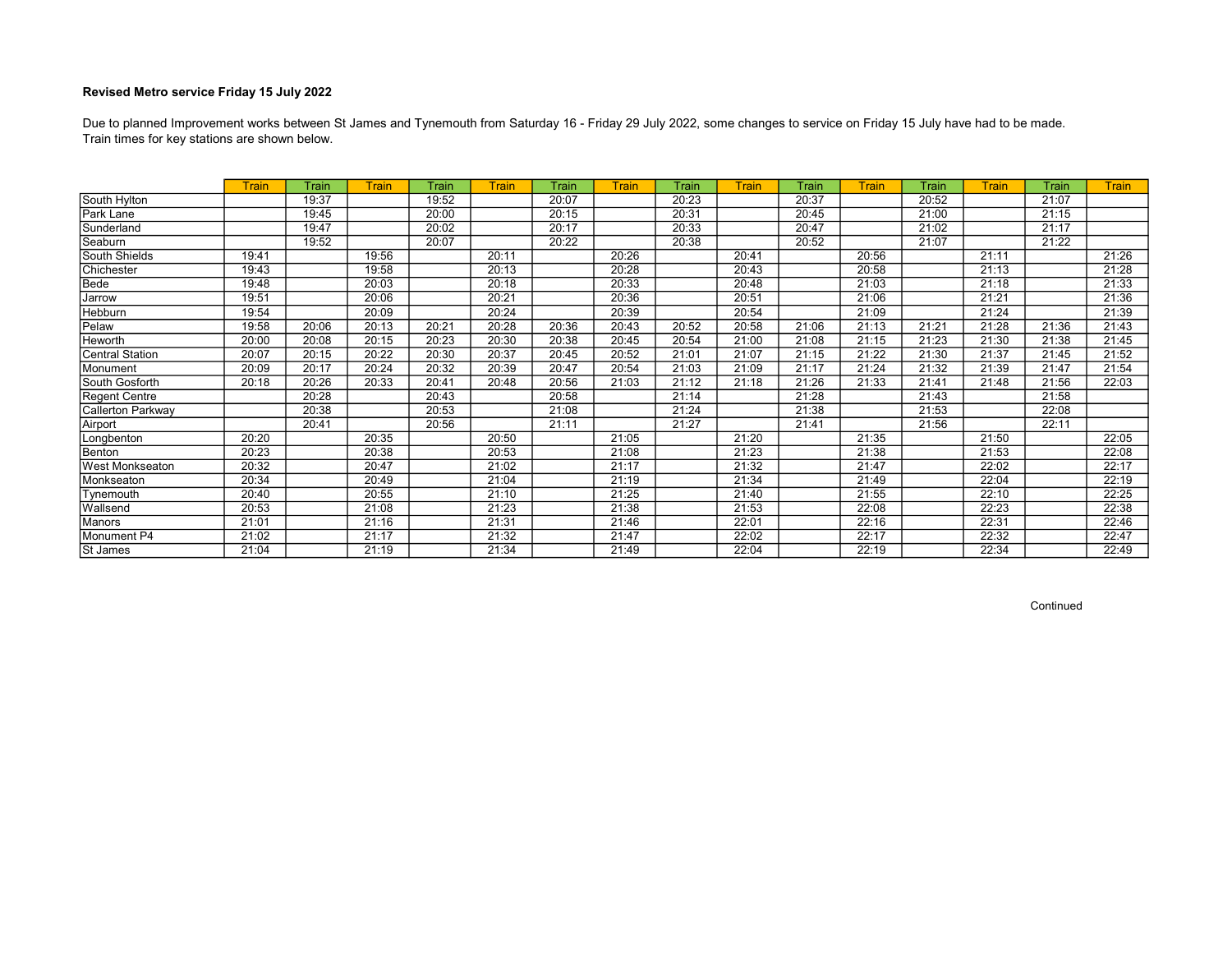Train times for key stations are shown below. Due to planned Improvement works between St James and Tynemouth from Saturday 16 - Friday 29 July 2022, some changes to service on Friday 15 July have had to be made.

|                        | <b>Train</b> | Train | <b>Train</b> | Train | <b>Train</b> | Train | <b>Train</b> | Train | <b>Train</b> | Train | <b>Train</b> | Train | <b>Train</b> | Train | <b>Train</b> |
|------------------------|--------------|-------|--------------|-------|--------------|-------|--------------|-------|--------------|-------|--------------|-------|--------------|-------|--------------|
| South Hylton           |              | 19:37 |              | 19:52 |              | 20:07 |              | 20:23 |              | 20:37 |              | 20:52 |              | 21:07 |              |
| Park Lane              |              | 19:45 |              | 20:00 |              | 20:15 |              | 20:31 |              | 20:45 |              | 21:00 |              | 21:15 |              |
| Sunderland             |              | 19:47 |              | 20:02 |              | 20:17 |              | 20:33 |              | 20:47 |              | 21:02 |              | 21:17 |              |
| Seaburn                |              | 19:52 |              | 20:07 |              | 20:22 |              | 20:38 |              | 20:52 |              | 21:07 |              | 21:22 |              |
| South Shields          | 19:41        |       | 19:56        |       | 20:11        |       | 20:26        |       | 20:41        |       | 20:56        |       | 21:11        |       | 21:26        |
| Chichester             | 19:43        |       | 19:58        |       | 20:13        |       | 20:28        |       | 20:43        |       | 20:58        |       | 21:13        |       | 21:28        |
| Bede                   | 19:48        |       | 20:03        |       | 20:18        |       | 20:33        |       | 20:48        |       | 21:03        |       | 21:18        |       | 21:33        |
| Jarrow                 | 19:51        |       | 20:06        |       | 20:21        |       | 20:36        |       | 20:51        |       | 21:06        |       | 21:21        |       | 21:36        |
| Hebburn                | 19:54        |       | 20:09        |       | 20:24        |       | 20:39        |       | 20:54        |       | 21:09        |       | 21:24        |       | 21:39        |
| Pelaw                  | 19:58        | 20:06 | 20:13        | 20:21 | 20:28        | 20:36 | 20:43        | 20:52 | 20:58        | 21:06 | 21:13        | 21:21 | 21:28        | 21:36 | 21:43        |
| Heworth                | 20:00        | 20:08 | 20:15        | 20:23 | 20:30        | 20:38 | 20:45        | 20:54 | 21:00        | 21:08 | 21:15        | 21:23 | 21:30        | 21:38 | 21:45        |
| <b>Central Station</b> | 20:07        | 20:15 | 20:22        | 20:30 | 20:37        | 20:45 | 20:52        | 21:01 | 21:07        | 21:15 | 21:22        | 21:30 | 21:37        | 21:45 | 21:52        |
| Monument               | 20:09        | 20:17 | 20:24        | 20:32 | 20:39        | 20:47 | 20:54        | 21:03 | 21:09        | 21:17 | 21:24        | 21:32 | 21:39        | 21:47 | 21:54        |
| South Gosforth         | 20:18        | 20:26 | 20:33        | 20:41 | 20:48        | 20:56 | 21:03        | 21:12 | 21:18        | 21:26 | 21:33        | 21:41 | 21:48        | 21:56 | 22:03        |
| <b>Regent Centre</b>   |              | 20:28 |              | 20:43 |              | 20:58 |              | 21:14 |              | 21:28 |              | 21:43 |              | 21:58 |              |
| Callerton Parkway      |              | 20:38 |              | 20:53 |              | 21:08 |              | 21:24 |              | 21:38 |              | 21:53 |              | 22:08 |              |
| Airport                |              | 20:41 |              | 20:56 |              | 21:11 |              | 21:27 |              | 21:41 |              | 21:56 |              | 22:11 |              |
| Longbenton             | 20:20        |       | 20:35        |       | 20:50        |       | 21:05        |       | 21:20        |       | 21:35        |       | 21:50        |       | 22:05        |
| Benton                 | 20:23        |       | 20:38        |       | 20:53        |       | 21:08        |       | 21:23        |       | 21:38        |       | 21:53        |       | 22:08        |
| <b>West Monkseaton</b> | 20:32        |       | 20:47        |       | 21:02        |       | 21:17        |       | 21:32        |       | 21:47        |       | 22:02        |       | 22:17        |
| Monkseaton             | 20:34        |       | 20:49        |       | 21:04        |       | 21:19        |       | 21:34        |       | 21:49        |       | 22:04        |       | 22:19        |
| Tynemouth              | 20:40        |       | 20:55        |       | 21:10        |       | 21:25        |       | 21:40        |       | 21:55        |       | 22:10        |       | 22:25        |
| Wallsend               | 20:53        |       | 21:08        |       | 21:23        |       | 21:38        |       | 21:53        |       | 22:08        |       | 22:23        |       | 22:38        |
| Manors                 | 21:01        |       | 21:16        |       | 21:31        |       | 21:46        |       | 22:01        |       | 22:16        |       | 22:31        |       | 22:46        |
| Monument P4            | 21:02        |       | 21:17        |       | 21:32        |       | 21:47        |       | 22:02        |       | 22:17        |       | 22:32        |       | 22:47        |
| St James               | 21:04        |       | 21:19        |       | 21:34        |       | 21:49        |       | 22:04        |       | 22:19        |       | 22:34        |       | 22:49        |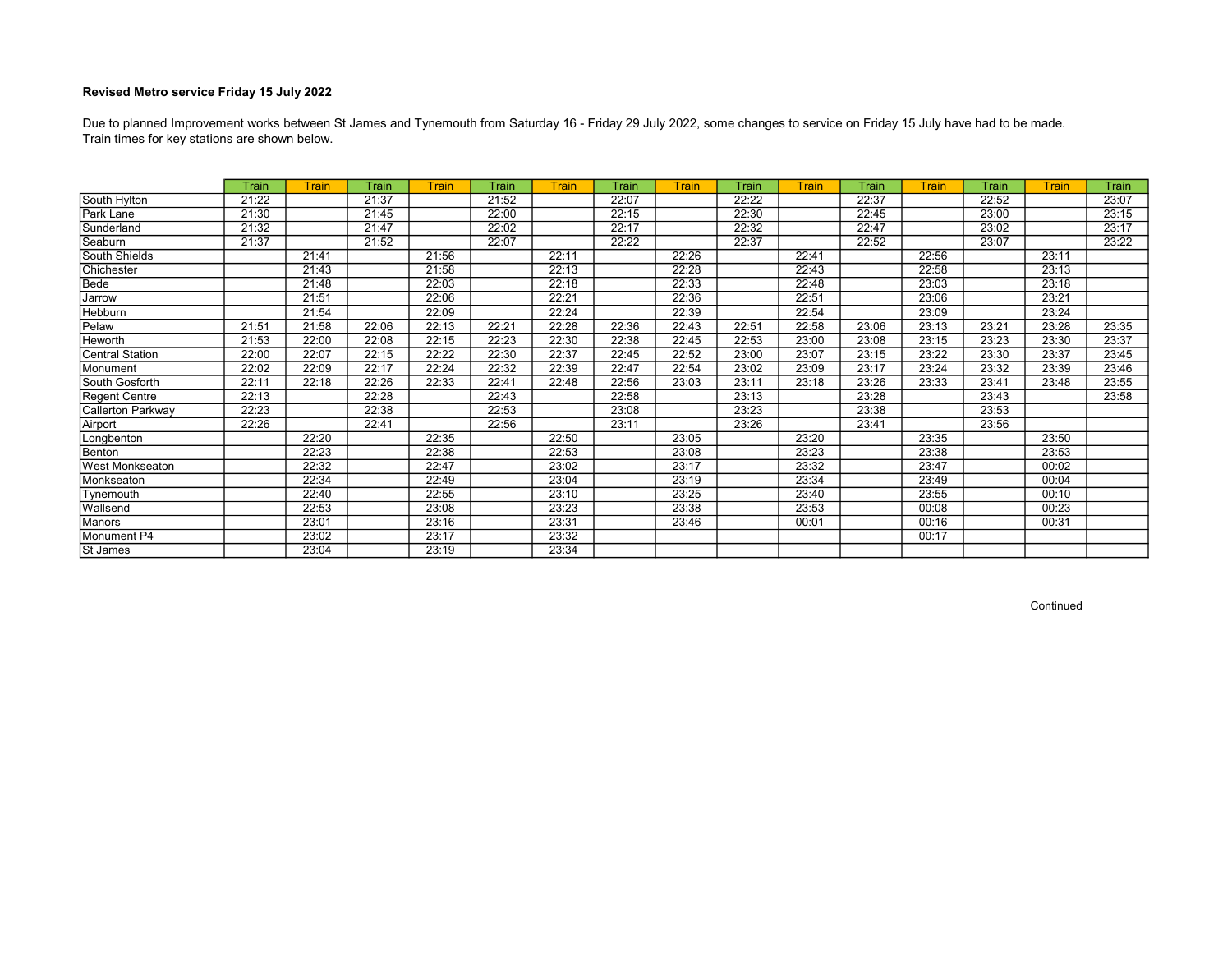Train times for key stations are shown below. Due to planned Improvement works between St James and Tynemouth from Saturday 16 - Friday 29 July 2022, some changes to service on Friday 15 July have had to be made.

|                          | <b>Train</b> | <b>Train</b> | Train | <b>Train</b> | Train | <b>Train</b> | Train | Train | Train | Train | Train | <b>Train</b> | Train | Train | Train |
|--------------------------|--------------|--------------|-------|--------------|-------|--------------|-------|-------|-------|-------|-------|--------------|-------|-------|-------|
| South Hylton             | 21:22        |              | 21:37 |              | 21:52 |              | 22:07 |       | 22:22 |       | 22:37 |              | 22:52 |       | 23:07 |
| Park Lane                | 21:30        |              | 21:45 |              | 22:00 |              | 22:15 |       | 22:30 |       | 22:45 |              | 23:00 |       | 23:15 |
| Sunderland               | 21:32        |              | 21:47 |              | 22:02 |              | 22:17 |       | 22:32 |       | 22:47 |              | 23:02 |       | 23:17 |
| Seaburn                  | 21:37        |              | 21:52 |              | 22:07 |              | 22:22 |       | 22:37 |       | 22:52 |              | 23:07 |       | 23:22 |
| South Shields            |              | 21:41        |       | 21:56        |       | 22:11        |       | 22:26 |       | 22:41 |       | 22:56        |       | 23:11 |       |
| Chichester               |              | 21:43        |       | 21:58        |       | 22:13        |       | 22:28 |       | 22:43 |       | 22:58        |       | 23:13 |       |
| Bede                     |              | 21:48        |       | 22:03        |       | 22:18        |       | 22:33 |       | 22:48 |       | 23:03        |       | 23:18 |       |
| Jarrow                   |              | 21:51        |       | 22:06        |       | 22:21        |       | 22:36 |       | 22:51 |       | 23:06        |       | 23:21 |       |
| <b>Hebburn</b>           |              | 21:54        |       | 22:09        |       | 22:24        |       | 22:39 |       | 22:54 |       | 23:09        |       | 23:24 |       |
| Pelaw                    | 21:51        | 21:58        | 22:06 | 22:13        | 22:21 | 22:28        | 22:36 | 22:43 | 22:51 | 22:58 | 23:06 | 23:13        | 23:21 | 23:28 | 23:35 |
| Heworth                  | 21:53        | 22:00        | 22:08 | 22:15        | 22:23 | 22:30        | 22:38 | 22:45 | 22:53 | 23:00 | 23:08 | 23:15        | 23:23 | 23:30 | 23:37 |
| <b>Central Station</b>   | 22:00        | 22:07        | 22:15 | 22:22        | 22:30 | 22:37        | 22:45 | 22:52 | 23:00 | 23:07 | 23:15 | 23:22        | 23:30 | 23:37 | 23:45 |
| Monument                 | 22:02        | 22:09        | 22:17 | 22:24        | 22:32 | 22:39        | 22:47 | 22:54 | 23:02 | 23:09 | 23:17 | 23:24        | 23:32 | 23:39 | 23:46 |
| South Gosforth           | 22:11        | 22:18        | 22:26 | 22:33        | 22:41 | 22:48        | 22:56 | 23:03 | 23:11 | 23:18 | 23:26 | 23:33        | 23:41 | 23:48 | 23:55 |
| Regent Centre            | 22:13        |              | 22:28 |              | 22:43 |              | 22:58 |       | 23:13 |       | 23:28 |              | 23:43 |       | 23:58 |
| <b>Callerton Parkway</b> | 22:23        |              | 22:38 |              | 22:53 |              | 23:08 |       | 23:23 |       | 23:38 |              | 23:53 |       |       |
| Airport                  | 22:26        |              | 22:41 |              | 22:56 |              | 23:11 |       | 23:26 |       | 23:41 |              | 23:56 |       |       |
| Longbenton               |              | 22:20        |       | 22:35        |       | 22:50        |       | 23:05 |       | 23:20 |       | 23:35        |       | 23:50 |       |
| Benton                   |              | 22:23        |       | 22:38        |       | 22:53        |       | 23:08 |       | 23:23 |       | 23:38        |       | 23:53 |       |
| <b>West Monkseaton</b>   |              | 22:32        |       | 22:47        |       | 23:02        |       | 23:17 |       | 23:32 |       | 23:47        |       | 00:02 |       |
| Monkseaton               |              | 22:34        |       | 22:49        |       | 23:04        |       | 23:19 |       | 23:34 |       | 23:49        |       | 00:04 |       |
| Tynemouth                |              | 22:40        |       | 22:55        |       | 23:10        |       | 23:25 |       | 23:40 |       | 23:55        |       | 00:10 |       |
| Wallsend                 |              | 22:53        |       | 23:08        |       | 23:23        |       | 23:38 |       | 23:53 |       | 00:08        |       | 00:23 |       |
| <b>Manors</b>            |              | 23:01        |       | 23:16        |       | 23:31        |       | 23:46 |       | 00:01 |       | 00:16        |       | 00:31 |       |
| Monument P4              |              | 23:02        |       | 23:17        |       | 23:32        |       |       |       |       |       | 00:17        |       |       |       |
| St James                 |              | 23:04        |       | 23:19        |       | 23:34        |       |       |       |       |       |              |       |       |       |